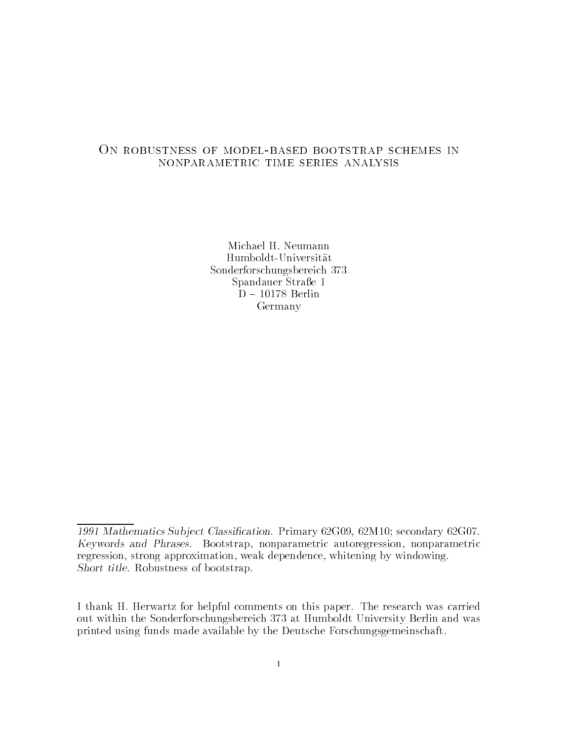## On robustness of model-based bootstrap schemes in nonparametric time series analysis

Humboldt-Universität Sonderforschungsbereich Spandauer Straße 1 Germany

<sup>1991</sup> Mathematics Subject Chastilleation, Indian, Cool, Control Secondary Cool, Keywords and Phrases- Bootstrap nonparametric autoregression nonparametric regression, strong approximation, weak dependence, whitening by windowing. Short title- Robustness of bootstrap-

I thank H- Herwartz for helpful comments on this paper- The research was carried out within the Sonderforschungsbereich 373 at Humboldt University Berlin and was printed using funds made available by the Deutsche Forschungsgemeinschaft-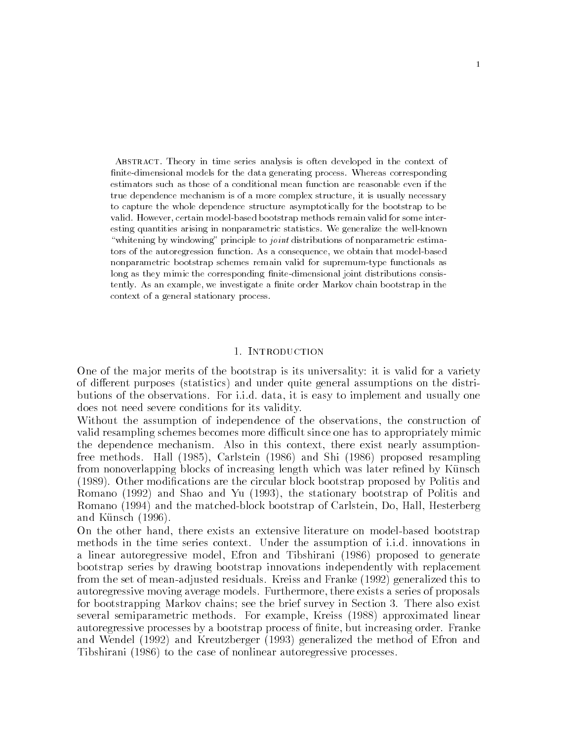Abstract Theory in time series analysis is often developed in the context of -nitedimensional models for the data generating process Whereas corresponding estimators such as those of a conditional mean function are reasonable even if the true dependence mechanism is of a more complex structure it is usually necessary to capture the whole dependence structure asymptotically for the bootstrap to be valid. However, certain model-based bootstrap methods remain valid for some interesting quantities arising in nonparametric statistics. We generalize the well-known "whitening by windowing" principle to *joint* distributions of nonparametric estimators of the autoregression function. As a consequence, we obtain that model-based nonparametric bootstrap schemes remain valid for supremum-type functionals as long as they mimic the corresponding -nitedimensional joint distributions consis tently As an example we investigate a -nite order Markov chain bootstrap in the context of a general stationary process

 $\mathbf{1}$ 

#### 1. INTRODUCTION

One of the major merits of the bootstrap is its universality: it is valid for a variety of different purposes (statistics) and under quite general assumptions on the distriit it is it is a form of the observations of the contract and usually one complement and usually ones to imple does not need severe conditions for its validity-

Without the assumption of independence of the observations the construction of valid resampling schemes becomes more difficult since one has to appropriately mimic the dependence mechanism- Also in this context there exist nearly assumption free methods- Hall Carlstein  and Shi  proposed resampling from nonoverlapping blocks of increasing length which was later refined by Künsch - Other modications are the circular block bootstrap proposed by Politis and Romano (1992) and Shao and Yu (1993), the stationary bootstrap of Politis and Romano (1994) and the matched-block bootstrap of Carlstein, Do, Hall, Hesterberg and Künsch  $(1996)$ .

On the other hand, there exists an extensive literature on model-based bootstrap methods in the time series context- the assumption of i-d-assumption of i-d-assumption of i-d-assumption of ia linear autoregressive model, Efron and Tibshirani (1986) proposed to generate bootstrap series by drawing bootstrap innovations independently with replacement from the set of meanadjusted residuals- Kreiss and Franke 
 generalized this to autoregressive movimation of the series of models-series of proposals and proposals a series of proposals and for bootstrapping Markov chains see the brief survey in Section - There also exist several semiparametric methods- For example Kreiss approximated linear autoregressive processes by a bootstrap process of nite but increasing order- Franke and Wendel (1992) and Kreutzberger (1993) generalized the method of Efron and Tibshirani (1986) to the case of nonlinear autoregressive processes.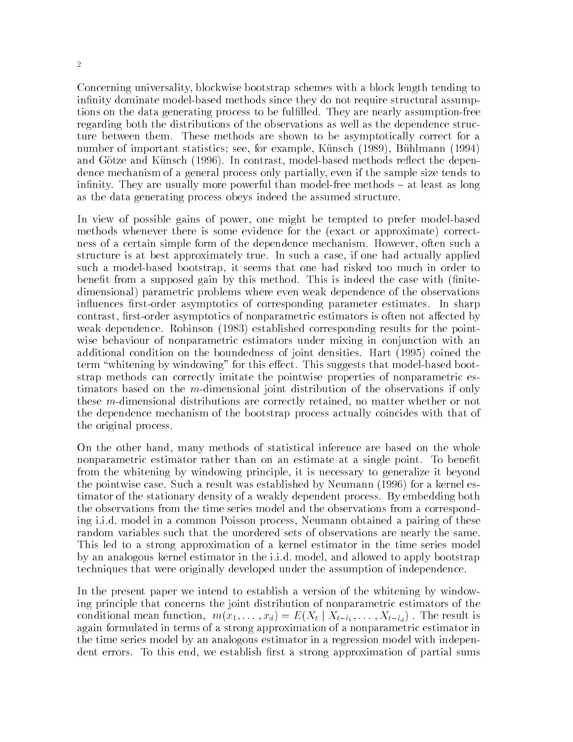Concerning universality blockwise bootstrap schemes with a block length tending to infinity dominate model-based methods since they do not require structural assumptions on the data generating process to be fullled- They are nearly assumptionfree regarding both the distributions of the observations as well as the dependence struc ture between them- These methods are shown to be asymptotically correct for a number of important statistics; see, for example, Künsch (1989), Bühlmann (1994) and Gotze and Kunstein and Hernes and Contrast methods resources and dependent and dependent dence mechanism of a general process only partially even if the sample size tends to intitudes, we are usually more powerful than models into the case of the state of the state  $\bm{\lambda}$ as the data generating process obeys indeed the assumed structure.

In view of possible gains of power, one might be tempted to prefer model-based methods whenever there is some evidence for the (exact or approximate) correctness of a certain simple form of the dependence mechanism- However often such a structure is at best approximately true-dimensional actually approximately true-dimensional actually applied  $\mathcal{U}$ such a model-based bootstrap, it seems that one had risked too much in order to bened to suppose the case  $\alpha$  , this index the case with nite  $\alpha$  and  $\beta$  is index the case  $\beta$ dimensional) parametric problems where even weak dependence of the observations inuences rstorder asymptotics of corresponding parameter estimates- In sharp contrast, first-order asymptotics of nonparametric estimators is often not affected by weak dependence-to-the state and points for the points for the points for the points for the points for the po wise behaviour of nonparametric estimators under mixing in conjunction with an additional conditions on the boundedness of joint densities-based (act ) coined the the  $\mathbf{f}$  that windowing for this extension for this extension for this extension for the suggests that modelbased boots is extended by  $\mathbf{f}$ strap methods can correctly imitate the pointwise properties of nonparametric es timators based on the m-dimensional joint distribution of the observations if only these m-dimensional distributions are correctly retained, no matter whether or not the dependence mechanism of the bootstrap process actually coincides with that of the original process-

On the other hand, many methods of statistical inference are based on the whole nonparametric estimator rather than on an estimate at a single point- To benet from the whitening by windowing principle it is necessary to generalize it beyond the pointwise case- Such a result was established by Neumann  for a kernel es timator of the stationary density of a weakly dependent process- By embedding both the observations from the time series model and the observations from a correspond ing i-i-d- model in a common Poisson process Neumann obtained a pairing of these random variables such that the unordered sets of observations are nearly the same-This led to a strong approximation of a kernel estimator in the time series model it and allowed the distribution in the interview of the interview and allowed the interview of the interview of techniques that were originally developed under the assumption of independence-

In the present paper we intend to establish a version of the whitening by window ing principle that concerns the joint distribution of nonparametric estimators of the conditional mean function,  $m(x_1, \ldots, x_d) = E(X_t | X_{t-l_1}, \ldots, X_{t-l_d})$ . The result is again formulated in terms of a strong approximation of a nonparametric estimator in the time series model by an analogous estimator in a regression model with indepen dent errors- to this end we establish rates and we establish representation of particles and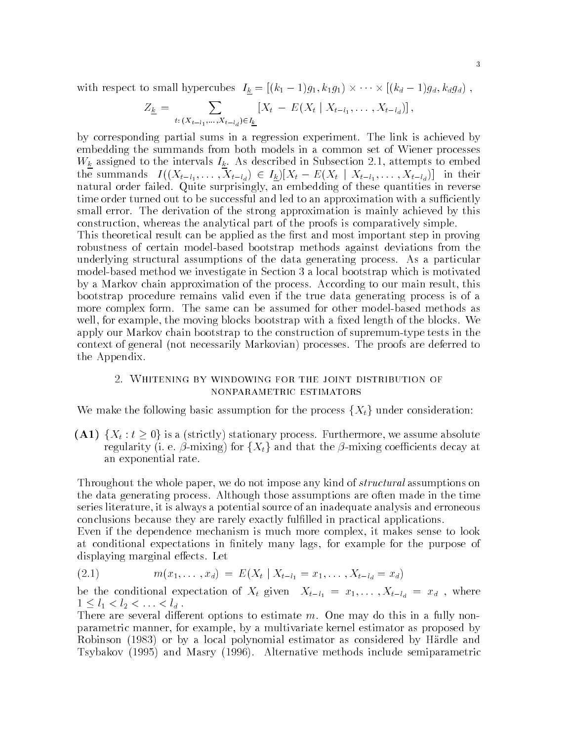with respect to small hypercubes  $I_k = [(k_1 - 1)g_1, k_1g_1) \times \cdots \times [(k_d - 1)g_d, k_dg_d)$ ,

$$
Z_{\underline{k}} = \sum_{t: (X_{t-l_1},...,X_{t-l_d}) \in I_{\underline{k}}} [X_t - E(X_t | X_{t-l_1},...,X_{t-l_d})],
$$

by corresponding partial sums in a regression experiment- The link is achieved by embedding the summands from both models in a common set of Wiener processes  $\alpha$  as described to the intervals intervals in Subsection in Subsection  $\alpha$  at  $\alpha$  in Subsection in Subsection in the summands  $I((X_{t-l_1},\ldots,X_{t-l_d})\in I_k)[X_t - E(X_t | X_{t-l_1},\ldots,X_{t-l_d})]$  in their natural order failed-ding surprisingly and the surprisingly and these quantities in reverse in reverse in rever time order turned out to be successful and led to an approximation with a sufficiently small error- The derivation of the strong approximation is mainly achieved by this construction, whereas the analytical part of the proofs is comparatively simple. This theoretical result can be applied as the first and most important step in proving robustness of certain model-based bootstrap methods against deviations from the underlying structure as a particular of the data generating process- of particular model-based method we investigate in Section 3 a local bootstrap which is motivated by a Markov chain approximation of the process- According to our main result this bootstrap procedure remains valid even if the true data generating process is of a more complex form- The same can be assumed for other modelbased methods as well for the moving for the moving blocks bootstrap with a sed of the blocks-blocks-blocks-blocks-blocks-block apply our Markov chain bootstrap to the construction of supremumtype tests in the context of general processes are defined provided to provide the proofs are deferred to the Appendix-

# nonparametric estimators

We make the following basic assumption for the process  $\{X_t\}$  under consideration:

 $(A1)$   $\{X_t : t \geq 0\}$  is a (strictly) stationary process. Furthermore, we assume absolute regularity (i. e.  $\beta$ -mixing) for  $\{X_t\}$  and that the  $\beta$ -mixing coefficients decay at an exponential rate.

Throughout the whole paper, we do not impose any kind of *structural* assumptions on the data generating process-are often made in the time in the time in the time in the time series literature, it is always a potential source of an inadequate analysis and erroneous conclusions because they are rarely exactly fullled in practical applications-

Even if the dependence mechanism is much more complex it makes sense to look at conditional expectations in finitely many lags, for example for the purpose of displayer and the marginal entry of the contract of the contract of the contract of the contract of the contract of the contract of the contract of the contract of the contract of the contract of the contract of the contra

$$
(2.1) \t m(x_1, \ldots, x_d) = E(X_t | X_{t-l_1} = x_1, \ldots, X_{t-l_d} = x_d)
$$

be the conditional expectation of  $\alpha$  given  $\alpha$   $\alpha$   $\alpha$   $\alpha$  and  $\alpha$   $\alpha$   $\alpha$   $\beta$  where  $\alpha$  $1 \leq l_1 < l_2 < \ldots < l_d$ .

There are several dierent options to estimate m- One may do this in a fully non parametric manner, for example, by a multivariate kernel estimator as proposed by Robinson (1983) or by a local polynomial estimator as considered by Härdle and Tsybakov and Masry - Alternative methods include semiparametric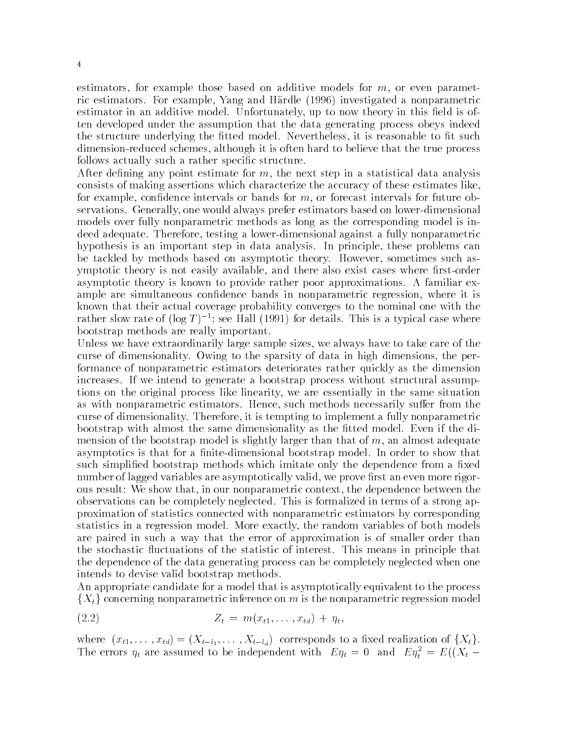estimators, for example those based on additive models for  $m$ , or even parametric estimators- For example Yang and Hardle  investigated a nonparametric estimator in an additive model- Unfortunately up to now theory in this eld is of ten developed under the assumption that the data generating process obeys indeed the structure underlying the tted model- Nevertheless it is reasonable to t such dimension-reduced schemes, although it is often hard to believe that the true process follows actually such a rather specific structure.

After defining any point estimate for  $m$ , the next step in a statistical data analysis consists of making assertions which characterize the accuracy of these estimates like for example, confidence intervals or bands for  $m$ , or forecast intervals for future observations- Generally one would always prefer estimators based on lowerdimensional models over fully nonparametric methods as long as the corresponding model is in deed adequate-testing a lowerdimensional and the functional and functional and functional and function and the hypothesis is an important step in data analysis- In principle these problems can be tackled by methods based on asymptotic theory- However sometimes such as ymptotic theory is not easily available, and there also exist cases where first-order asymptotic theory is known to provide rather poor approximations- A familiar ex ample are simultaneous confidence bands in nonparametric regression, where it is known that their actual coverage probability converges to the nominal one with the rather slow rate of  $log I$  )  $\rightarrow$ ; see Hall (1991) for details. This is a typical case where bootstrap methods are really important-

Unless we have extraordinarily large sample sizes, we always have to take care of the curse of dimensionality-currently-currently-currently-currently-currently-currently-currently-currently-currentlyformance of nonparametric estimators deteriorates rather quickly as the dimension increases- If we intend to generate a bootstrap process without structural assump tions on the original process like linearity we are essentially in the same situation as with nonparametric estimators- Hence such methods necessarily suer from the curse of dimensionality-current it is the fully nonparametric to implement and fully non-mental contracts of bootstrap with almost the same dimensionality as the the model-with model-with the the distribution mension of the bootstrap model is slightly larger than that of  $m$ , an almost adequate asymptotics is that for a nitedimensional bootstrap model-to show that the show that is that the show that the such simplified bootstrap methods which imitate only the dependence from a fixed number of lagged variables are asymptotically valid, we prove first an even more rigorous result: We show that, in our nonparametric context, the dependence between the observations can be completely neglected-in terms of a strong and contain a strong appli proximation of statistics connected with nonparametric estimators by corresponding statistics in a regression model-warm variables of  $M$ are paired in such a way that the error of approximation is of smaller order than the stochastic unit unit unit unit  $\mathbb{F}_q$  interest-based of interest-based of interest-based of interest-based of interest-based of interest-based of interest-based of interest-based of interest-based of interest-based the dependence of the data generating process can be completely neglected when one intends to devise valid bootstrap methods-

An appropriate candidate for a model that is asymptotically equivalent to the process  ${X<sub>t</sub>}$  concerning nonparametric inference on m is the nonparametric regression model

(2.2) 
$$
Z_t = m(x_{t1}, \ldots, x_{td}) + \eta_t,
$$

where  $(x_{t1},...,x_{td}) = (X_{t-l_1},...,X_{t-l_d})$  corresponds to a fixed realization of  $\{X_t\}.$ The errors  $\eta_t$  are assumed to be independent with  $E\eta_t = 0$  and  $E\eta_t^* = E((\lambda_t -$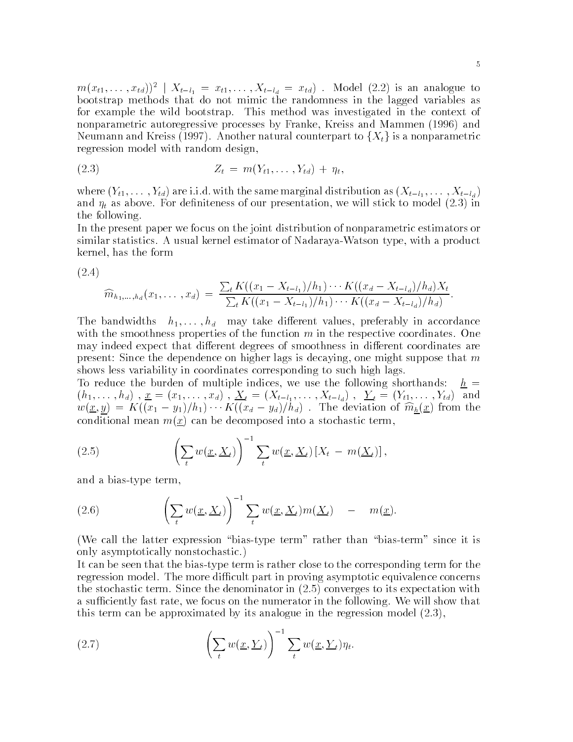$m(x_{t1}, \ldots, x_{td}))^2 \mid X_{t-l_1} = x_{t1}, \ldots, X_{t-l_d} = x_{td})$ . Model  $(2.2)$  is an analogue to bootstrap methods that do not mimic the randomness in the lagged variables as for example the wild bootstrap- This method was investigated in the context of nonparametric autoregressive processes by Franke, Kreiss and Mammen (1996) and Neumann and Kreiss (1997). Another natural counterpart to  $\{X_t\}$  is a nonparametric regression model with random design

(2.3) 
$$
Z_t = m(Y_{t1}, \ldots, Y_{td}) + \eta_t,
$$

where Yt- -Ytd are i-i-d- with the same marginal distribution as Xtl - -Xtld and the contraction we will stick to model we will stick the contraction will stick to model with  $\lambda$ the following-

In the present paper we focus on the joint distribution of nonparametric estimators or similar statistics- to de an usual kernel estimator of the Nadarayay with a product of products and products o kernel has the form

$$
(2.4)
$$

$$
\widehat{m}_{h_1,\ldots,h_d}(x_1,\ldots,x_d) = \frac{\sum_t K((x_1 - X_{t-l_1})/h_1) \cdots K((x_d - X_{t-l_d})/h_d)X_t}{\sum_t K((x_1 - X_{t-l_1})/h_1) \cdots K((x_d - X_{t-l_d})/h_d)}.
$$

take dierent bandwidths het blood may take dierent values processing and dielectricity in accordance of with the smoothness properties of the function m in the respective coordinates-  $\sim$  and  $\sim$ may indeed expect that different degrees of smoothness in different coordinates are present: Since the dependence on higher lags is decaying, one might suppose that m shows less variability in coordinates corresponding to such high lags-

To reduce the burden of multiple indices, we use the following shorthands:  $h =$ h- -hd x x- -xd Xt Xtl - -Xtld <sup>Y</sup> <sup>t</sup> Yt- -Ytd and  $w(\underline{x}, y) = K(x_1 - y_1)/n_1 \cdots K(x_d - y_d)/n_d$ . The deviation of  $m_h(\underline{x})$  from the conditional mean  $m(\underline{x})$  can be decomposed into a stochastic term,

(2.5) 
$$
\left(\sum_t w(\underline{x}, \underline{X}_t)\right)^{-1} \sum_t w(\underline{x}, \underline{X}_t) \left[X_t - m(\underline{X}_t)\right],
$$

and a bias-type term,

(2.6) 
$$
\left(\sum_t w(\underline{x}, \underline{X}_t)\right)^{-1} \sum_t w(\underline{x}, \underline{X}_t) m(\underline{X}_t) - m(\underline{x}).
$$

(We call the latter expression "bias-type term" rather than "bias-term" since it is only asymptotically nonstochastic-

It can be seen that the biastype term is rather close to the corresponding term for the regression model-and regression model-and part in province completely as a question of the concerns the stochastic terms to its denominator in the denominator  $\mathcal{L}$  is expected to its expectation with a such rate we following-the numerator in the following-the following-the following-the following-that  $\mathcal{M}$ this term can be approximated by its analogue in the regression model  $\mathbf{r}$ 

(2.7) 
$$
\left(\sum_{t} w(\underline{x}, \underline{Y}_t)\right)^{-1} \sum_{t} w(\underline{x}, \underline{Y}_t) \eta_t.
$$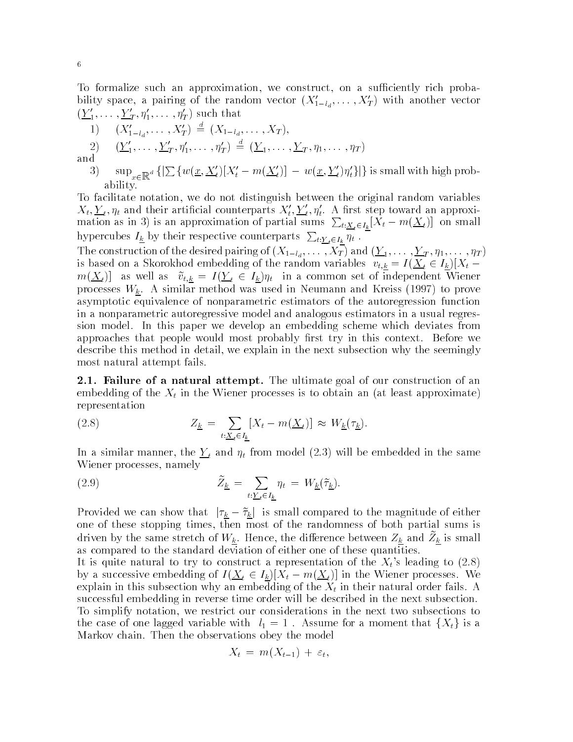To formalize such an approximation, we construct, on a sufficiently rich probability space, a pairing of the random vector  $(X_{1-l_d}, \ldots, X_T)$  with another vector  $(\underline{Y}_1,\ldots,\underline{Y}_T,\eta_1,\ldots,\eta_T)$  such that

1) 
$$
(X'_{1-l_d}, \ldots, X'_T) \stackrel{d}{=} (X_{1-l_d}, \ldots, X_T),
$$
  
2)  $(\underline{Y}'_1, \ldots, \underline{Y}'_T, \eta'_1, \ldots, \eta'_T) \stackrel{d}{=} (\underline{Y}_1, \ldots, \underline{Y}_T, \eta_1, \ldots, \eta_T)$ 

and

3)  $\sup_{x\in\mathbb{R}^d}\left\{\left[\sum w(\underline{x},\underline{X'_t})[X'_t-m(\underline{X'_t})]-w(\underline{x},\underline{Y'_t})\eta'_t\right]\right\}$  is small with high probability-

To facilitate notation, we do not distinguish between the original random variables  $\Lambda_t, \underline{Y}_t, \eta_t$  and their artincial counterparts  $\Lambda_t, \underline{Y}_t, \eta_t.$  A first step toward an approximation as in 3) is an approximation of partial sums  $\sum_{t:\underline{X}_t\in I_k}[X_t-m(\underline{X}_t)]$  on small hypercubes  $I_{\underline{k}}$  by their respective counterparts  $\sum_{t:\underline{Y}_{t} \in I_{k}} \eta_{t}$ .

 $T$  -  $T$  ,  $T$  -  $T$  -  $T$  -  $T$  -  $T$  -  $T$  -  $T$  -  $T$  -  $T$  -  $T$  -  $T$  -  $T$  -  $T$  -  $T$  -  $T$  -  $T$  -  $T$  -  $T$  -  $T$  -  $T$  -  $T$  -  $T$  -  $T$  -  $T$  -  $T$  -  $T$  -  $T$  -  $T$  -  $T$  -  $T$  -  $T$  -  $T$  -  $T$  -  $T$  -  $T$  is based on a Skorokhod embedding of the random variables  $v_{t,k} = I(\underline{X}_t \in I_k)|X_t$  $m(\underline{X}_t)$  as well as  $v_{t,k} = I(\underline{Y}_t \in I_k)\eta_t$  in a common set of independent Wiener processes www.communication.com/was used in Neumann and Kreiss to prove the Neumann and Neumann (Archivettory asymptotic equivalence of nonparametric estimators of the autoregression function in a nonparametric autoregressive model and analogous estimators in a usual regres sion model- In this paper we develop an embedding scheme which deviates from approaches that people would most probably most in this context- most probably resolved to the describe this method in detail, we explain in the next subsection why the seemingly most natural attempt fails.

- Failure of a natural attempt The ultimate goal of our construction of an embedding of the  $X_t$  in the Wiener processes is to obtain an (at least approximate) representation

(2.8) 
$$
Z_{\underline{k}} = \sum_{t:\underline{X}_t \in I_{\underline{k}}} [X_t - m(\underline{X}_t)] \approx W_{\underline{k}}(\tau_{\underline{k}}).
$$

In a similar manner the Y t and the same model in the same model in the same model in the same model in the same model in the same model in the same model in the same model in the same model in the same model in the same Wiener processes namely

(2.9) 
$$
\widetilde{Z}_{\underline{k}} = \sum_{t:\underline{Y}_{t} \in I_{\underline{k}}} \eta_{t} = W_{\underline{k}}(\widetilde{\tau}_{\underline{k}}).
$$

Provided we can show that  $|\tau_k - \tilde{\tau}_k|$  is small compared to the magnitude of either one of these stopping times, then most of the randomness of both partial sums is driven by the same stretch or  $W_k$  . Hence, the difference between  $Z_k$  and  $Z_k$  is small as compared to the standard deviation of either one of these quantities.

It is guite natural to try to construct a representation of the Xt s leading to  $\mathcal{U}$ by a successive embedding of  $I(\underline{X}_t \in I_k)|X_t - m(\underline{X}_t)]$  in the Wiener processes. We explain in this subsection why and the Xt in the Xt in the Xt in the Xt in the Xt in the Xt in the Xt in the Xt in the Xt in the Xt in the Xt in the Xt in the Xt in the Xt in the Xt in the Xt in the Xt in the Xt in the Xt successful embedding in reverse time order will be described in the next subsection-To simplify notation, we restrict our considerations in the next two subsections to the case of one lagged variable with  $l_1 = 1$ . Assume for a moment that  $\{X_t\}$  is a  $\mathcal{M}$ 

$$
X_t = m(X_{t-1}) + \varepsilon_t,
$$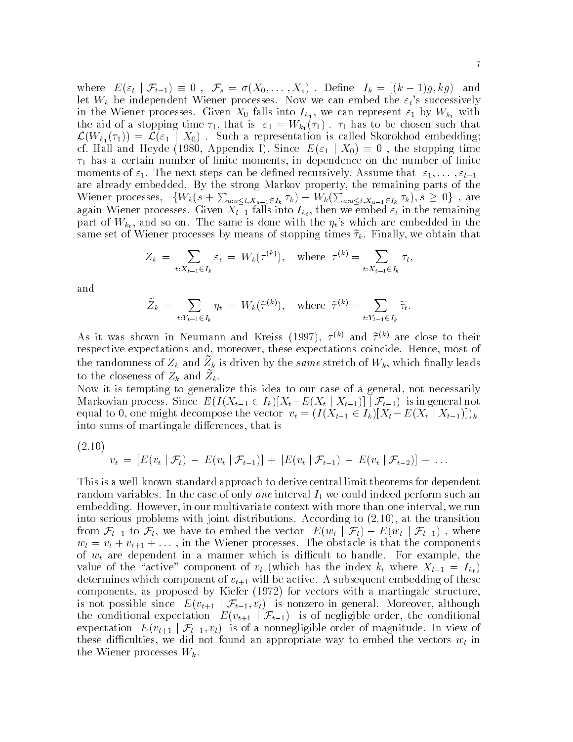where  $E(\varepsilon_t | \mathcal{F}_{t-1}) \equiv 0$ ,  $\mathcal{F}_s = \sigma(X_0, \ldots, X_s)$ . Define  $I_k = [(k-1)g, kg)$  and er wh we can empedding with the independent with the successive the successive  $\mathcal{S}_k$  is successively the successively in the Wiener processes-can represent  $\mathbb{N}$  falls into Iki with  $\mathbb{N}$ the aid of a stopping time  $\mathbf{r}$  , that is  $\mathbf{v}_1$  and  $\mathbf{w}_1$  ,  $\mathbf{r}_2$  ,  $\mathbf{r}_3$  are to be chosen such that  $\mathcal{L}(W_{k_1}(\tau_1)) = \mathcal{L}(\varepsilon_1 \mid X_0)$  . Such a representation is called Skorokhod embedding; cf. Hall and Heyde (1980, Appendix I). Since  $E(\varepsilon_1 | X_0) \equiv 0$ , the stopping time  $\tau_1$  has a certain number of finite moments, in dependence on the number of finite moments of  $\sim$  1.000  $\,$  1.000  $\,$  1.000  $\,$  1.000  $\,$  1.000  $\,$  1.000  $\,$  1.000  $\,$  1.000  $\,$  1.000  $\,$  1.000  $\,$  1.000  $\,$  1.000  $\,$  1.000  $\,$  1.000  $\,$  1.000  $\,$  1.000  $\,$  1.000  $\,$  1.000  $\,$  1.000 are already control the strong markov property the remaining parts of the remaining Wiener processes,  $\{W_k(s+\sum_{u:u\leq t,X_{u-1}\in I_k}\tau_k) - W_k(\sum_{u:u\leq t,X_{u-1}\in I_k}\tau_k), s\geq 0\}$ , are  $\alpha$  and the falls into  $\alpha$  falls into  $\alpha$  into  $\alpha$  into  $\alpha$  into  $\alpha$  in the remaining  $\alpha$  $p$ art of With the same is done with the t same is done with the t same is done with the t same in the t same is  $p$ same set of Wiener processes by meaning of stopping times  $\mathcal{W}_t$  finally we obtain that

$$
Z_k = \sum_{t:X_{t-1} \in I_k} \varepsilon_t = W_k(\tau^{(k)}), \quad \text{where } \tau^{(k)} = \sum_{t:X_{t-1} \in I_k} \tau_t,
$$

and

$$
\widetilde{Z}_k = \sum_{t:Y_{t-1} \in I_k} \eta_t = W_k(\widetilde{\tau}^{(k)}), \quad \text{where } \widetilde{\tau}^{(k)} = \sum_{t:Y_{t-1} \in I_k} \widetilde{\tau}_t.
$$

As it was shown in Neumann and Kreiss (1997),  $\gamma$   $\sim$  and  $\gamma$   $\sim$  are close to their respective expectations and moreover these expectations coincide- Hence most of the randomness of  $Z_k$  and  $Z_k$  is driven by the same stretch of  $W_k$ , which many leads to the closeness of  $Z_k$  and  $Z_k$ .

Now it is tempting to generalize this idea to our case of a general, not necessarily Markovian process. Since  $E(I(X_{t-1} \in I_k)[X_t - E(X_t | X_{t-1})] | \mathcal{F}_{t-1})$  is in general not equal to 0, one might decompose the vector  $v_t = (I(X_{t-1} \in I_k)[X_t - E(X_t | X_{t-1})])_k$ into sums of martingale differences, that is

 $\sim$  -  $\sim$  -  $\sim$  -  $\sim$  -  $\sim$  -  $\sim$  -  $\sim$  -  $\sim$  -  $\sim$  -  $\sim$  -  $\sim$  -  $\sim$  -  $\sim$  -  $\sim$  -  $\sim$  -  $\sim$  -  $\sim$  -  $\sim$  -  $\sim$  -  $\sim$  -  $\sim$  -  $\sim$  -  $\sim$  -  $\sim$  -  $\sim$  -  $\sim$  -  $\sim$  -  $\sim$  -  $\sim$  -  $\sim$  -  $\sim$  -  $\sim$ 

$$
v_t = [E(v_t | \mathcal{F}_t) - E(v_t | \mathcal{F}_{t-1})] + [E(v_t | \mathcal{F}_{t-1}) - E(v_t | \mathcal{F}_{t-2})] + \dots
$$

This is a well-known standard approach to derive central limit theorems for dependent random variables- In the case of only one interval I we could indeed perform such an embedding- how with the context with more than our more interval with more than one interval we runn into serious problems with joint distributions-distributions-distributions-distributions-distributions-distributionsfrom  $\mathcal{F}_{t-1}$  to  $\mathcal{F}_t$ , we have to embed the vector  $E(w_t | \mathcal{F}_t) - E(w_t | \mathcal{F}_{t-1})$ , where we define the  $\mathfrak{c}$  is the components of  $\mathfrak{c}$ of which in present in a manufacture which is different to dimensional to the context property which value of the "active" component of  $v_t$  (which has the index  $k_t$  where  $X_{t-1} = I_{k_t}$ ) determines which component of vertice-dimensional behavior  $\mathcal{O}(\mathcal{O})$ components, as proposed by Kiefer  $(1972)$  for vectors with a martingale structure, is not possible since  $E(v_{t+1} | \mathcal{F}_{t-1}, v_t)$  is nonzero in general. Moreover, although the conditional expectation  $E(v_{t+1} | \mathcal{F}_{t-1})$  is of negligible order, the conditional expectation  $E(v_{t+1} | \mathcal{F}_{t-1}, v_t)$  is of a nonnegligible order of magnitude. In view of these difficulties, we did not found an appropriate way to embed the vectors  $w_t$  in the Wiener processes  $W_k$ .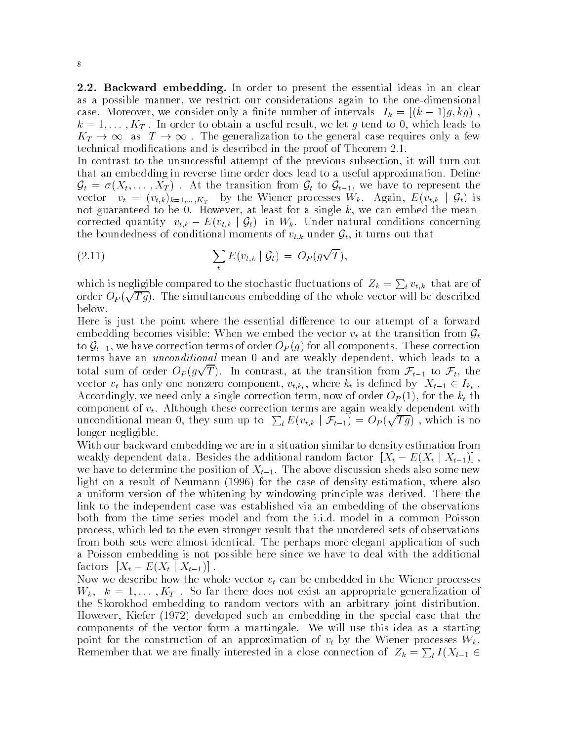**2.2. Backward embedding.** In order to present the essential ideas in an clear as a possible manner, we restrict our considerations again to the one-dimensional case. Moreover, we consider only a milite number of intervals  $I_k = |(k-1)g, ky|$ ,  $K_T \to \infty$  as  $T \to \infty$ . The generalization to the general case requires only a few technical modications and is described in the proof of Theorem 
--

In contrast to the unsuccessful attempt of the previous subsection it will turn out that an embedding in reverse time order does lead to a useful approximation- Dene  $\mathcal{G}_t = \sigma(X_t, \ldots, X_T)$ . At the transition from  $\mathcal{G}_t$  to  $\mathcal{G}_{t-1}$ , we have to represent the vector  $v_t = (v_{t,k})_{k=1,...,K_T}$  by the Wiener processes  $W_k$ . Again,  $E(v_{t,k} | \mathcal{G}_t)$  is not guaranteed to be - However at least for a single k we can embed the mean corrected quantity  $v_{t,k} - E(v_{t,k} | \mathcal{G}_t)$  in  $W_k$ . Under natural conditions concerning the boundedness of conditional moments of  $v_{t,k}$  under  $\mathcal{G}_t$ , it turns out that

(2.11) 
$$
\sum_{t} E(v_{t,k} | \mathcal{G}_t) = O_P(g\sqrt{T}),
$$

which is negligible compared to the stochastic fluctuations of  $Z_k = \sum_t v_{t,k}$  that are of order  $O_P(\sqrt{Tg})$ . The simultaneous embedding of the whole vector will be described below.

Here is just the point where the essential difference to our attempt of a forward embedding becomes visible: When we embed the vector  $v_t$  at the transition from  $\mathcal{G}_t$ to  $\mathcal{G}_{t-1}$ , we have correction terms of order  $O_P(g)$  for all components. These correction terms much an unconditional meaning a dimensional mean  $\alpha$  are weakly dependent which are welltotal sum of order  $O_P(g\sqrt{T})$ . In contrast, at the transition from  $\mathcal{F}_{t-1}$  to  $\mathcal{F}_t$ , the vector  $v_t$  has only one nonzero component,  $v_{t,k_t}$ , where  $k_t$  is defined by  $X_{t-1} \in I_{k_t}$ . Accordingly, we need only a single correction term, now of order  $O_P(1)$ , for the  $k_t$ -th component of version terms are again to the correction terms are again with the correction terms are again with unconditional mean 0, they sum up to  $\sum_{t} E(v_{t,k} | \mathcal{F}_{t-1}) = O_P(\sqrt{Tg})$ , which is no longer negligible.

With our backward embedding we are in a situation similar to density estimation from weakly dependent data. Besides the additional random factor  $[X_t - E(X_t | X_{t-1})]$ , we have to determine the position of  $\mathcal{I}_t$  , which she above discussion sheds also sheds also some light on a result of Neumann (1996) for the case of density estimation, where also a uniform version of the windowing by windowing principle windows derived-there was link to the independent case was established via an embedding of the observations process which led to the even stronger result that the unordered sets of observations from both sets were almost identical- The perhaps more elegant application of such a Poisson embedding is not possible here since we have to deal with the additional factors  $[X_t - E(X_t | X_{t-1})].$ 

Now we describe how the whole vector  $v_t$  can be embedded in the Wiener processes where the solution of the society and there are the company when the propriate domination of the society of the the Skorokhod embedding to random vectors with an arbitrary joint distribution-However, Kiefer (1972) developed such an embedding in the special case that the components of the vector form a martingale- its view may change as a starting point for the construction of an approximation of  $v_t$  by the Wiener processes  $W_k$ . Remember that we are finally interested in a close connection of  $Z_k = \sum_t I(X_{t-1} \in$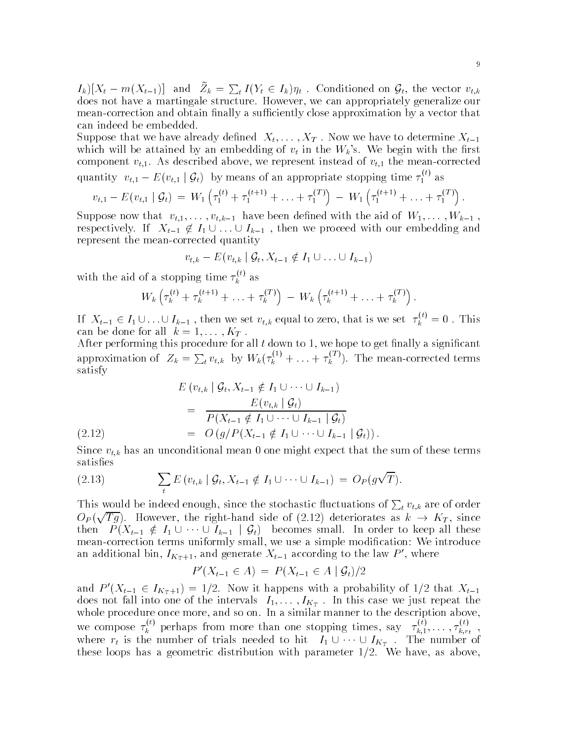$I_k\left[ (X_t - m(X_{t-1})) \right]$  and  $Z_k = \sum_t I(Y_t \in I_k)\eta_t$ . Conditioned on  $\mathcal{G}_t$ , the vector  $v_{t,k}$ does not have a martingale structure- However we can appropriately generalize our mean-correction and obtain finally a sufficiently close approximation by a vector that can indeed be embedded.

suppose that we have the top, dened X -- (1999-1994) we have to dense to dened Xt -- (1994-1995). which will be attained by an embedding of vectors  $\Omega$  in the rst in the rst in the rst in the rst in the rst in the rst in the rst in the rst in the rst in the rst in the rst in the rst in the rst in the rst in the rst i component village above we represent instead of vertical of the mean of  $\mathcal{M}_1$  and meaning above we represent quantity  $v_{t,1} - E(v_{t,1} | \mathcal{G}_t)$  by means of an appropriate stopping time  $\tau_1^{(i)}$  as

$$
v_{t,1} - E(v_{t,1} | \mathcal{G}_t) = W_1 \left( \tau_1^{(t)} + \tau_1^{(t+1)} + \ldots + \tau_1^{(T)} \right) - W_1 \left( \tau_1^{(t+1)} + \ldots + \tau_1^{(T)} \right).
$$

suppose that visit the aid of W-L (1990) International complete with the aid of W-L (1991) International Complete U respectively. If  $X_{t-1} \notin I_1 \cup \ldots \cup I_{k-1}$  , then we proceed with our embedding and represent the mean-corrected quantity

$$
v_{t,k}-E(v_{t,k} | \mathcal{G}_t, X_{t-1} \notin I_1 \cup \ldots \cup I_{k-1})
$$

with the aid of a stopping time  $\tau_k^{\scriptscriptstyle (\gamma)}$  as

$$
W_k\left(\tau_k^{(t)} + \tau_k^{(t+1)} + \ldots + \tau_k^{(T)}\right) - W_k\left(\tau_k^{(t+1)} + \ldots + \tau_k^{(T)}\right).
$$

If  $X_{t-1} \in I_1 \cup ... \cup I_{k-1}$ , then we set  $v_{t,k}$  equal to zero, that is we set  $\tau_k^{v} = 0$ . This can be done for all k and the set of the set of the set of the set of the set of the set of the set of the set

After performing this procedure for all  $t$  down to 1, we hope to get finally a significant approximation of  $Z_k = \sum_t v_{t,k}$  by  $W_k(\tau_k^{(1)} + \ldots + \tau_k^{(1)})$ . The mean-corrected terms satisfy

$$
E(v_{t,k} | \mathcal{G}_t, X_{t-1} \notin I_1 \cup \cdots \cup I_{k-1})
$$
  
= 
$$
\frac{E(v_{t,k} | \mathcal{G}_t)}{P(X_{t-1} \notin I_1 \cup \cdots \cup I_{k-1} | \mathcal{G}_t)}
$$
  
= 
$$
O(g/P(X_{t-1} \notin I_1 \cup \cdots \cup I_{k-1} | \mathcal{G}_t)).
$$

 $\sim$  and an unconditional measurement is the sum of the sum of the sum of the sum of the sum of the sum of the sum of the sum of the sum of the sum of the sum of the sum of the sum of the sum of the sum of the sum of the satisfies

(2.13) 
$$
\sum_{t} E(v_{t,k} | \mathcal{G}_t, X_{t-1} \notin I_1 \cup \cdots \cup I_{k-1}) = O_P(g\sqrt{T}).
$$

This would be indeed enough, since the stochastic fluctuations of  $\sum_t v_{t,k}$  are of order  $O_P(\sqrt{Tg})$ . However, the right-hand side of (2.12) deteriorates as  $k \to K_T$ , since then  $P(X_{t-1} \notin I_1 \cup \cdots \cup I_{k-1} | \mathcal{G}_t)$  becomes small. In order to keep all these mean-correction terms uniformly small, we use a simple modification: We introduce an additional bin,  $I_{K_T+1}$ , and generate  $X_{t-1}$  according to the law P', where

$$
P'(X_{t-1} \in A) = P(X_{t-1} \in A \mid \mathcal{G}_t)/2
$$

and  $P'(X_{t-1} \in I_{K_T+1}) = 1/2$ . Now it happens with a probability of  $1/2$  that  $X_{t-1}$ does not fall into one of the intervals II,  $\cdots$  ,  $\lnot$   $\alpha_{T}$  , we first repeat the just repeat the intervals in whole procedure on  $\mathbb{I}$  and so on-description above and so on-description above and so on-description above above above above and so onwe compose  $\tau_k^{\gamma}$  perhaps from more than one stopping times, say  $\tau_{k,1}^{\gamma}$ ,.  $\tau_{k,1}^{\cdots},\ldots,\tau_{k,r_t}^{\cdots}$ where  $r_t$  is the number of trials needed to hit  $I_1 \cup \cdots \cup I_{K_T}$ . The number of these loops have a geometric distribution with with parameter  $\mathbf{r}_i = \mathbf{r}_i$  , the matrix  $\mathbf{r}_i$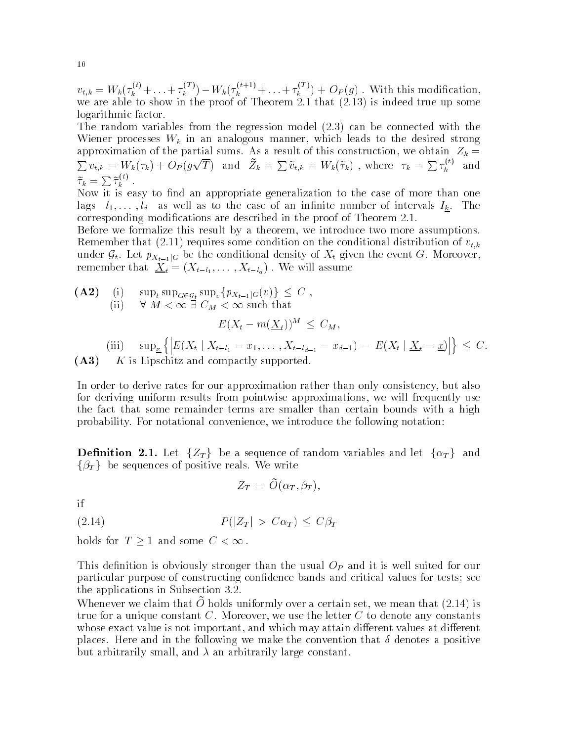$v_{t,k} = W_k(\tau_k^{N'} + \ldots + \tau_k^{N'} ) - W_k(\tau_k^{N''-1} + \ldots + \tau_k^{N''}) + O_P(g)$ . With this modification, ... we are the show in the proof of Theorem The Theorem (Theory is indexed true up some  $\sim$ logarithmic factor.

The random variables from the regression model 
- can be connected with the Wiener processes Wiener processes Wiener which leads to the desired strong to the desired strong to the desired strong to the desired strong to the desired strong to the desired strong to the desired strong to the desired  $\sum v_{t,k} = W_k(\tau_k) + O_P(g\sqrt{T})$  and  $\tilde{Z}_k = \sum \tilde{v}_{t,k} = W_k(\tilde{\tau}_k)$ , where  $\tau_k = \sum \tau_k^{(t)}$  and  $\widetilde{\tau}_k = \sum \widetilde{\tau}_k^{\left( \iota \right)}$  .

Now it is easy to find an appropriate generalization to the case of more than one lags little lift as well as to the case of intervals intervals in management of the case  $\omega_{R}$  . In the case corresponding modifications are described in the proof of Theorem 2016.

Before we formalize this result by a theorem, we introduce two more assumptions. requires some condition on the condition on the condition on the condition of vertices  $\alpha$  and  $\alpha$ under  $\mathcal{G}_t$ . Let  $p_{X_{t-1}|G}$  be the conditional density of  $X_t$  given the event G. Moreover, remember that Xt Xtl - -Xtld -We will assume

(A2) (i) 
$$
\sup_t \sup_{G \in \mathcal{G}_t} \sup_v \{p_{X_{t-1}|G}(v)\} \leq C
$$
,  
\n(ii)  $\forall M < \infty \exists C_M < \infty$  such that  
\n
$$
E(X_t - m(\underline{X}_t))^M \leq C_M,
$$

(iii)  $\sup_x \left\{ \left| E(X_t \mid X_{t-l_1} = x_1, \ldots, X_{t-l_{d-1}} = x_{d-1}) - E(X_t \mid \underline{X}_t = \underline{x}) \right| \right\} \leq C.$ A K is Lipschitz and compactly supported  $\mathbf{I}$  and compactly supported  $\mathbf{I}$  and compactly supported  $\mathbf{I}$ 

In order to derive rates for our approximation rather than only consistency but also for deriving uniform results from pointwise approximations, we will frequently use the fact that some remainder terms are smaller than certain bounds with a high probability-convenience we introduce the following the following notation and following notations.

 $\bf{Definition \ \ 2.1. \ \ }$   $\rm{Let} \ \ \{{Z}_T\} \ \ \ \rm{be a \ \ } \rm{sequence \ of \ \ random \ \ variables \ \ and \ \ } \rm{let} \ \ \{{\alpha}_T\} \ \ \ \rm{and}$  $\{\beta_T\}$  be sequences of positive reals. We write

$$
Z_T = O(\alpha_T, \beta_T),
$$

if

 $(2.14)$  $P(|Z_T| > C\alpha_T) \leq C\beta_T$ 

holds for  $T \geq 1$  and some  $C < \infty$ .

This definition is obviously stronger than the usual  $O_P$  and it is well suited for our particular purpose of constructing confidence bands and critical values for tests; see the applications in Subsection - Applications in Subsection - Application - Application - Application - Applica

Whenever we claim that  $\bar{U}$  holds uniformly over a certain set, we mean that (2.14) is true for a unique constant C- Moreover we use the letter C to denote any constants whose exact value is not important, and which may attain different values at different places- Here and in the following we make the convention that denotes a positive but arbitrarily small, and  $\lambda$  an arbitrarily large constant.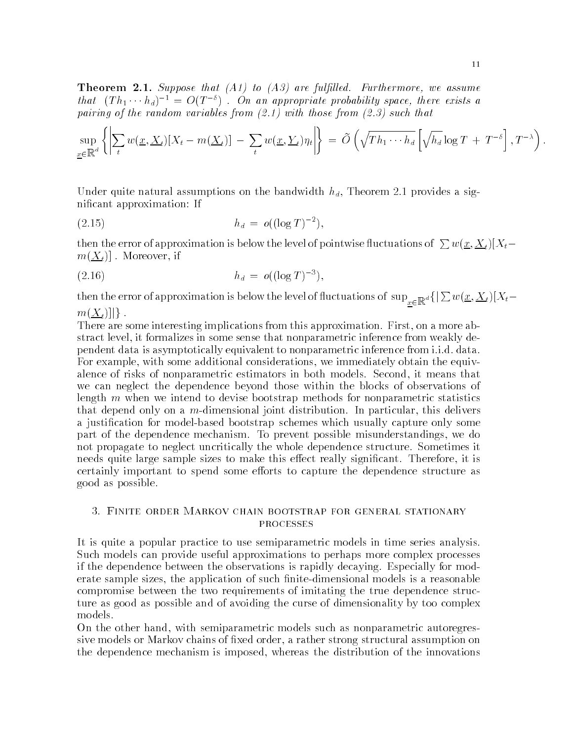Theorem - Suppose that -A to -A are full led Furthermore we assume that  $(Th_1 \cdots h_d)^{-1} = O(T^{-\delta})$ . On an appropriate probability space, there exists a  $\mathbf{r}$  , with the random variables from  $\mathbf{r}$  that the random variables from  $\mathbf{r}$ 

$$
\sup_{\underline{x}\in\mathbb{R}^d}\left\{\left|\sum_t w(\underline{x},\underline{X}_t)[X_t-m(\underline{X}_t)]\right|-\sum_t w(\underline{x},\underline{Y}_t)\eta_t\right\} = \widetilde{O}\left(\sqrt{Th_1\cdots h_d}\left[\sqrt{h_d}\log T + T^{-\delta}\right],T^{-\lambda}\right).
$$

Under quite natural assumptions on the bandwidth hd Theorem 
- provides a sig nificant approximation: If

$$
(2.15) \t\t\t\t h_d = o((\log T)^{-2}),
$$

then the error of approximation is below the level of pointwise fluctuations of  $\sum w(\underline{x}, \underline{X}_t) | X_t \lambda$  - Moreover if  $\lambda$  if  $\lambda$  is a set of  $\lambda$ 

$$
(2.16) \t\t\t\t\t h_d = o((\log T)^{-3}),
$$

then the error of approximation is below the level of fluctuations of  $\sup_{x\in\mathbb R^d}\{|\sum w(\underline x,\underline X_t)[X_t$ x $m(\underline{X}_t)||$ .

There are some interesting implications from this approximation- First on a more ab stract level it formalizes in some sense that nonparametric inference from weakly de pendent data is asymptotically equivalent to nonparametric inference from i-i-d- data-For example, with some additional considerations, we immediately obtain the equivalence of them it mind, we have that the commutation in a factor model it control it modelswe can neglect the dependence beyond those within the blocks of observations of length  $m$  when we intend to devise bootstrap methods for nonparametric statistics that depend only on a mdimensional joint distribution- In particular this delivers a justification for model-based bootstrap schemes which usually capture only some part of the dependence mechanism-state we prevent possible misunderstandings we do not propagate to neglect uncritically the whole dependence structure- Sometimes it needs quite large sample sizes to make this eect really signicant- Therefore it is certainly important to spend some efforts to capture the dependence structure as good as possible-

It is quite a popular practice to use semiparametric models in time series analysis-Such models can provide useful approximations to perhaps more complex processes if the dependence between the observations is rapidly decaying- Especially for mod erate sample sizes, the application of such finite-dimensional models is a reasonable compromise between the two requirements of imitating the true dependence struc ture as good as possible and of avoiding the curse of dimensionality by too complex models-

On the other hand, with semiparametric models such as nonparametric autoregressive models or Markov chains of fixed order, a rather strong structural assumption on the dependence mechanism is imposed, whereas the distribution of the innovations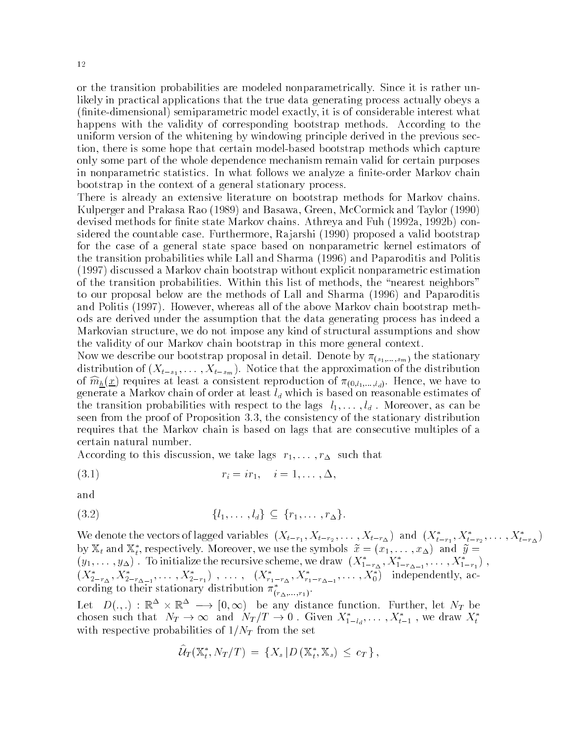or the transition probabilities are modeled nonparametrically-constructed it is rather under likely in practical applications that the true data generating process actually obeys a nitedimensional semiparametric model exactly it is of considerable interest what happens with the validity of corresponding bootstrap methods- According to the uniform version of the whitening by windowing principle derived in the previous sec tion, there is some hope that certain model-based bootstrap methods which capture only some part of the whole dependence mechanism remain valid for certain purposes in nonparametric statistics- In what follows we analyze a niteorder Markov chain bootstrap in the context of a general stationary process-

There is already an extensive literature on bootstrap methods for Markov chains. Kulperger and Prakasa Rao and Basawa Green McCormick and Taylor devised methods for nite state Markov chains- Athreya and Fuh 
a 
b con sidered the countries the countries are considered the proposed (i.e. ) proposed at the countries  $\mathbb P$ for the case of a general state space based on nonparametric kernel estimators of the transition probabilities while Lall and Sharma (1996) and Paparoditis and Politis  $(1997)$  discussed a Markov chain bootstrap without explicit nonparametric estimation of the transition probabilities-within this list of methods the nearest neighbors the nearest neighbors the nearest  $\mathcal{M}$ to our proposal below are the methods of Lall and Sharma (1996) and Paparoditis and Politis - However whereas all of the above Markov chain bootstrap meth ods are derived under the assumption that the data generating process has indeed a Markovian structure, we do not impose any kind of structural assumptions and show the validity of our Markov chain bootstrap in this more general context-

Now we describe our bootstrap proposal in detailed in detailed in  $\mathcal{S}^{\text{max}}$  in  $\mathcal{S}^{\text{max}}$ distribution of  $\{1, 1, \ldots, 1, 1, \ldots, 0\}$  , the approximation of the distribution of the distribution of the distribution of the distribution of the distribution of the distribution of the distribution of the distributi of  $m_{\underline{h}}(\underline{\omega})$  requires at least a consistent reproduction of  $m_{\underline{h},\underline{h},\underline{h},\underline{h}}$ . Hence, we have to generate a Markov chain of order at least  $l_d$  which is based on reasonable estimates of the transition probabilities with respect to the lags l-11 with 1.0 with respect to the lags lseen from the proof of Proposition - the consistency of the stationary distribution requires that the Markov chain is based on lags that are consecutive multiples of a certain natural number-

According to this discussion we take lags r- -r such that

 ri ir i - -!-

and

$$
(3.2) \qquad \{l_1,\ldots,l_d\} \subseteq \{r_1,\ldots,r_{\Delta}\}.
$$

We deficie the vectors of lagged variables  $(X_{t-r_1}, X_{t-r_2}, \ldots, X_{t-r_{\Delta}})$  and  $(X_{t-r_1}, X_{t-r_2}, \ldots, X_{t-r_{\Delta}})$ by  $\mathbb{A}_t$  and  $\mathbb{A}_t$ , respectively. Moreover, we use the symbols  $x = (x_1, \ldots, x_{\Delta})$  $t$ , i.e. pectricity. Indicately, we also the sympath  $\omega$   $(\alpha_1, \dots, \alpha_n)$  and y  $(y_1,\ldots,y_{\Delta})$  . To initialize the recursive scheme, we draw  $(A_{1-r_{\Delta}},A_{1-r_{\Delta-1}},\ldots,A_{1-r_1})$  ,  $(x_{2-r_{\Delta}}, x_{2-r_{\Delta-1}}, \ldots, x_{2-r_1})$ , ...,  $(x_{r_1-r_{\Delta}}, x_{r_1-r_{\Delta-1}}, \ldots, x_0)$  independently, according to their stationary distribution  $\pi_{(r_{\Delta},...,r_1)}$ .

Let  $D(.,.) : \mathbb{R}^{\rightarrow} \times \mathbb{R}^{\rightarrow} \longrightarrow [0, \infty)$  be any distance function. Further, let  $N_T$  be chosen such that  $N_T \rightarrow \infty$  and  $N_T/T \rightarrow 0$ . Given  $X_{1-l_d}^*, \ldots, X_{t-1}^*$ , we draw  $X_t^*$ with respective probabilities of  $1/N<sub>T</sub>$  from the set

$$
\widehat{\mathcal{U}}_T(\mathbb{X}_t^*, N_T/T) = \{X_s | D(\mathbb{X}_t^*, \mathbb{X}_s) \leq c_T\},\
$$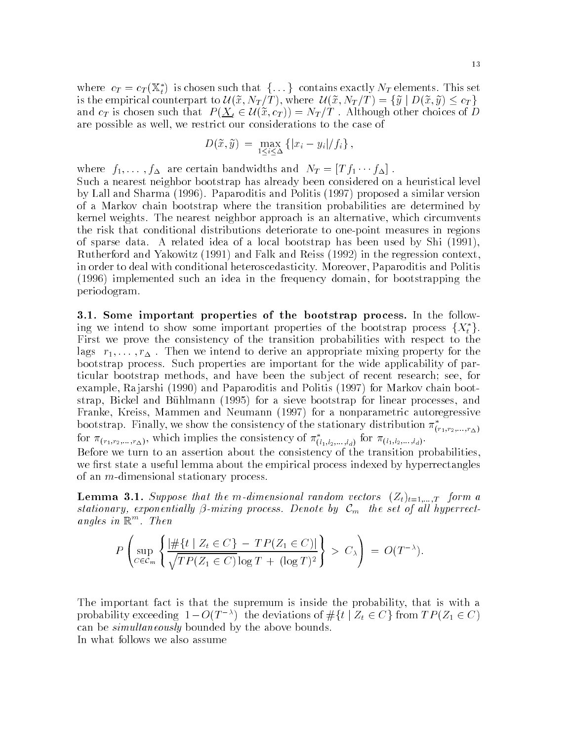where  $c_T = c_T(\mathbb{X}_t^*)$  is chosen such that  $\{\ldots\}$  contains exactly  $N_T$  elements. This set is the empirical counterpart to  $\mathcal{U}(\widetilde{x},N_T/T),$  where  $\mathcal{U}(\widetilde{x},N_T/T)=\{\widetilde{y}\mid D(\widetilde{x},\widetilde{y})\leq c_T\}$ and  $c_T$  is chosen such that  $P(\underline{X}_t \in \mathcal{U}(\tilde{x}, c_T)) = N_T/T$  . Although other choices of D are possible as well, we restrict our considerations to the case of

$$
D(\tilde{x}, \tilde{y}) = \max_{1 \leq i \leq \Delta} \left\{ |x_i - y_i| / f_i \right\},\,
$$

where  $f_1, \ldots, f_{\Delta}$  are certain bandwidths and  $N_T = [T]_1 \cdots I_{\Delta}$ .

Such a nearest neighbor bootstrap has already been considered on a heuristical level by Lall and Sharma - Paparoditis and Politis proposed a similar version of a Markov chain bootstrap where the transition probabilities are determined by kernel weights- The nearest neighbor approach is an alternative which circumvents the risk that conditional distributions deteriorate to one-point measures in regions of sparse data - A relative data - Bootstrap has been used by Ship (1999-); Rutherford and Yakowitz (1991) and Falk and Reiss (1992) in the regression context, in order to deal with conditional heteroscedasticity- Moreover Paparoditis and Politis  $(1996)$  implemented such an idea in the frequency domain, for bootstrapping the periodogram-

- Some important properties of the bootstrap process In the follow ing we intend to show some important properties of the bootstrap process  $\{X_t^*\}$ . First we prove the consistency of the transition probabilities with respect to the lags r- -r - Then we intend to derive an appropriate mixing property for the bootstrap process- Such properties are important for the wide applicability of par ticular bootstrap methods, and have been the subject of recent research; see, for example Ra jarshi and Paparoditis and Politis for Markov chain boot strap, Bickel and Bühlmann (1995) for a sieve bootstrap for linear processes, and Franke, Kreiss, Mammen and Neumann (1997) for a nonparametric autoregressive bootstrap. Finally, we show the consistency of the stationary distribution  $\pi_{(r_1,r_2,...,r_{\Delta})}$ for  $\pi_{(r_1,r_2,...,r_\Delta)}$ , which implies the consistency of  $\pi_{(l_1,l_2,...,l_d)}$  for  $\pi_{(l_1,l_2,...,l_d)}$ .

Before we turn to an assertion about the consistency of the transition probabilities we first state a useful lemma about the empirical process indexed by hyperrectangles of an  $m$ -dimensional stationary process.

Lemma - Suppose that the m dimensional random vectors Ztt- -T form a stationary, exponentially  $\beta$ -mixing process. Denote by  $\mathcal{C}_m$  the set of all hyperrectangles in  $\mathbbmss{R}$  . In en

$$
P\left(\sup_{C\in\mathcal{C}_m}\left\{\frac{|\#\{t\mid Z_t\in C\}-TP(Z_1\in C)|}{\sqrt{TP(Z_1\in C)}\log T + (\log T)^2}\right\} > C_{\lambda}\right) = O(T^{-\lambda}).
$$

The important fact is that the supremum is inside the probability that is with a probability exceeding  $1-O(T^{-\lambda})$  the deviations of  $\#\{t \mid Z_t \in C\}$  from  $TP(Z_1 \in C)$ can be *simultaneously* bounded by the above bounds. In what follows we also assume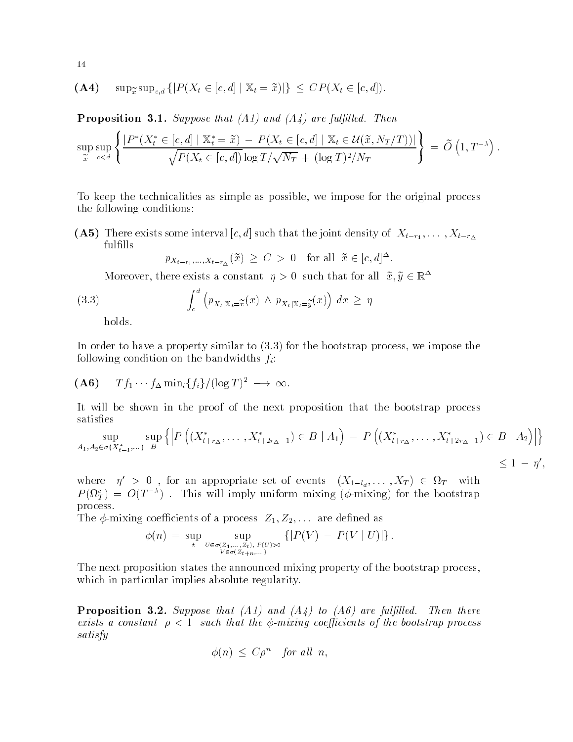$$
(\mathbf{A4}) \quad \sup_{\widetilde{x}} \sup_{c,d} \left\{ |P(X_t \in [c,d] \mid \mathbb{X}_t = \widetilde{x})| \right\} \leq CP(X_t \in [c,d]).
$$

Proposition - Suppose that -A and -A are full led Then

$$
\sup_{\widetilde{x}} \sup_{c < d} \left\{ \frac{|P^*(X_t^* \in [c, d] \mid \mathbb{X}_t^* = \widetilde{x}) - P(X_t \in [c, d] \mid \mathbb{X}_t \in \mathcal{U}(\widetilde{x}, N_T/T))|}{\sqrt{P(X_t \in [c, d]) \log T / \sqrt{N_T} + (\log T)^2 / N_T}} \right\} = \widetilde{O}\left(1, T^{-\lambda}\right).
$$

To keep the technicalities as simple as possible we impose for the original process the following conditions

A There exists some interval c- d such that the joint density of Xtr - -Xtr fulfills

 $p_{X_{t-r_1},...,X_{t-r_{\Delta}}}(\tilde{x}) \geq C > 0$  for all  $\tilde{x} \in [c,d]^{\Delta}$ .

Moreover, there exists a constant  $\eta > 0$  such that for all  $x, y \in \mathbb{R}^+$ 

(3.3) 
$$
\int_{c}^{d} \left( p_{X_{t}|\mathbb{X}_{t}=\widetilde{x}}(x) \wedge p_{X_{t}|\mathbb{X}_{t}=\widetilde{y}}(x) \right) dx \geq \eta
$$

holds.

In order to  $\mathcal{N}$  and the bootstrap process we impose the bootstrap process we impose the bootstrap process we impose following condition on the bandwidths  $f_i$ :

$$
(\mathbf{A6}) \quad T f_1 \cdots f_\Delta \min_i \{f_i\} / (\log T)^2 \longrightarrow \infty.
$$

It will be shown in the proof of the next proposition that the bootstrap process satisfies

$$
\sup_{A_1, A_2 \in \sigma(X_{t-1}^*, \dots)} \sup_B \left\{ \left| P\left( (X_{t+r_\Delta}^*, \dots, X_{t+2r_{\Delta}-1}^*) \in B \mid A_1 \right) - P\left( (X_{t+r_\Delta}^*, \dots, X_{t+2r_{\Delta}-1}^*) \in B \mid A_2 \right) \right| \right\}
$$

 $\leq 1 - \eta',$ 

where  $\eta' > 0$ , for an appropriate set of events  $(X_{1-l_d}, \ldots, X_T) \in \Omega_T$  with  $P(M_T) = O(T^{-\alpha})$ . This will imply uniform mixing ( $\varphi$ -mixing) for the bootstrap process-

The mixing coecients of a process Z- Z- are dened as

$$
\phi(n) = \sup_{t} \sup_{U \in \sigma(Z_1,...,Z_t), P(U) > 0 \atop V \in \sigma(Z_{t+n},...,Y)} \{ |P(V) - P(V | U)| \}.
$$

The next proposition states the announced mixing property of the bootstrap process, which in particular implies absolute regularity.

 $\blacksquare$  - A suppose that - A and - A and - A and - A suppose that  $\blacksquare$ exists a constant part of the bootstrap coefficiently coefficients of the coefficients processes satisfy

$$
\phi(n) \leq C \rho^n \quad \text{for all } n,
$$

14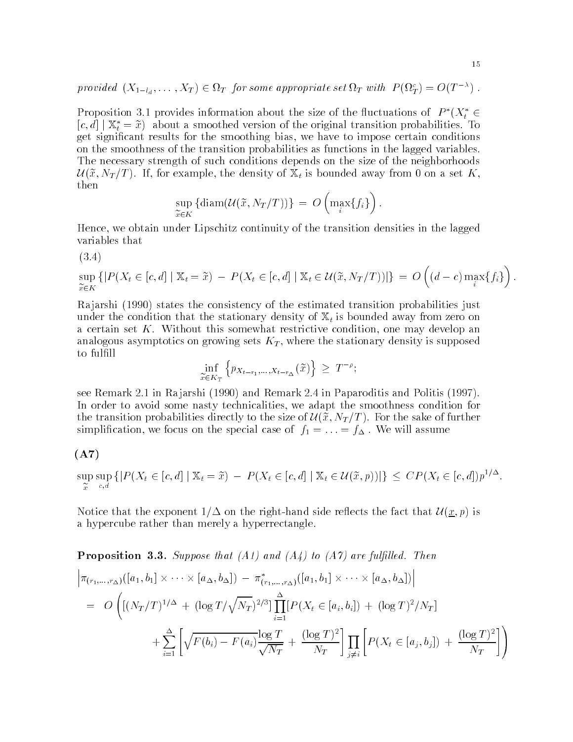provided  $(X_{1-l_d},\ldots,X_T)\in\Omega_T$  for some appropriate set  $\Omega_T$  with  $P(\Omega_T^c)=O(T^{-\alpha})$  .

Proposition 3.1 provides information about the size of the fluctuations of  $P^*(X_t^*\in$  $[c, d] | X_t^* = \tilde{x}$  about a smoothed version of the original transition probabilities. To get significant results for the smoothing bias, we have to impose certain conditions on the smoothness of the transition probabilities as functions in the lagged variables-The necessary strength of such conditions depends on the size of the neighborhoods  $\mathcal{U}(\widetilde{x},N_T/T)$ . If, for example, the density of  $\mathbb{X}_t$  is bounded away from 0 on a set K, then

$$
\sup_{\widetilde{x}\in K} \left\{\text{diam}(\mathcal{U}(\widetilde{x},N_T/T))\right\} ~=~ O\left(\max_i\{f_i\}\right).
$$

Hence we obtain under Lipschitz continuity of the transition densities in the lagged variables that

 $-1$ 

 $-$ support the support of  $\sim$  $\widetilde{x} \in K$  $\{ |P(X_t \in [c,d] \mid \mathbb{X}_t = \tilde{x}) - P(X_t \in [c,d] \mid \mathbb{X}_t \in \mathcal{U}(\tilde{x}, N_T/T))| \} = O\left((d - \tilde{x})\right)$  $(d-c)\max\limits_{i}\{f_{i}\}\Bigr)$  .

ra jarshi the constant the constant transition of the estimated transitions in the estimated transition of the under the condition that the stationary density of  $\mathbb{X}_t$  is bounded away from zero on a certain set K- Without this some condition on this somewhat restrictive conditions and may develop and analogous asymptotics on growing sets  $K_T$ , where the stationary density is supposed to fulfill

$$
\inf_{\widetilde{x}\in K_T} \left\{ p_{X_{t-r_1},\ldots,X_{t-r_\Delta}}(\widetilde{x}) \right\} \geq T^{-\rho};
$$

see Remark in Ra jarshi in Ra jarshi in Ra jarshi in Paparoditis and Political International International International International International International International International International International Int In order to avoid some nasty technicalities, we adapt the smoothness condition for the transition probabilities directly to the size of  $\mathcal{U}(\tilde{x},N_T/T)$ . For the sake of further simplication we focus on the special case of f  $d\Omega$ 

### $(A7)$

sure the sure that the sursuperior and the superior of the superior of the superior of the superior of the superior of the superior of the superior of the superior of the superior of the superior of the superior of the superior of the superior of t  $\sup_{c,d} \{|P(X_t \in [c,d] \mid \mathbb{X}_t = \tilde{x}) - P(X_t \in [c,d] \mid \mathbb{X}_t \in \mathcal{U}(\tilde{x},p))|\} \leq CP(X_t \in [c,d])p^{1/2}.$ 

Notice that the exponent  $1/\Delta$  on the right-hand side reflects the fact that  $\mathcal{U}(x,p)$  is a hypercube rather than merely a hyperrectangle.

**Proposition 3.3.** Suppose that (A1) and (A4) to (A7) are fulfilled. Then  
\n
$$
\left| \pi_{(r_1,...,r_{\Delta})}([a_1,b_1] \times \cdots \times [a_{\Delta},b_{\Delta}]) - \pi_{(r_1,...,r_{\Delta})}^*([a_1,b_1] \times \cdots \times [a_{\Delta},b_{\Delta}]) \right|
$$
\n
$$
= O\left( [(N_T/T)^{1/\Delta} + (\log T/\sqrt{N_T})^{2/3}] \prod_{i=1}^{\Delta} [P(X_t \in [a_i,b_i]) + (\log T)^2/N_T] + \sum_{i=1}^{\Delta} \left[ \sqrt{F(b_i) - F(a_i)} \frac{\log T}{\sqrt{N_T}} + \frac{(\log T)^2}{N_T} \right] \prod_{j \neq i} \left[ P(X_t \in [a_j,b_j]) + \frac{(\log T)^2}{N_T} \right] \right)
$$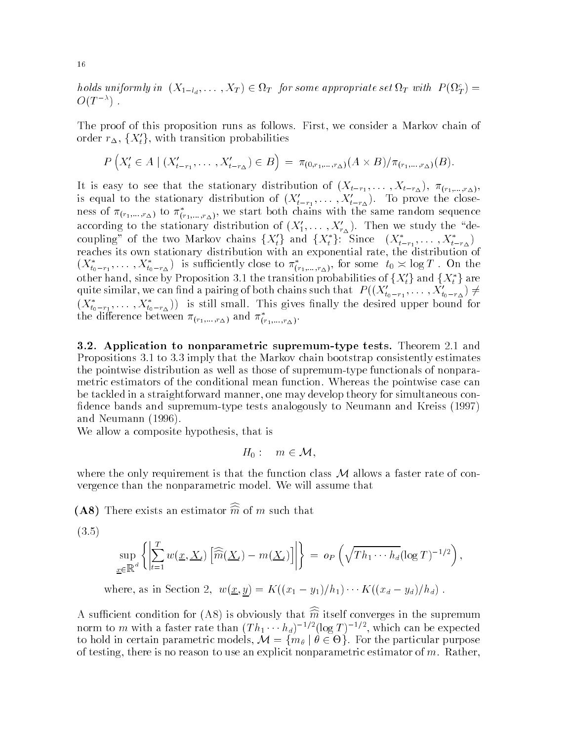holds uniformly in  $(X_{1-l_d}, \ldots, X_T) \in \Omega_T$  for some appropriate set  $\Omega_T$  with  $P(\Omega_T^c) =$  $\cup$ U $\bot$ 

The proof of this proposition runs as follows- First we consider a Markov chain of order  $r_{\Delta}$ ,  $\{X'_{t}\}\$ , with transition probabilities

$$
P(X'_{t} \in A \mid (X'_{t-r_{1}}, \ldots, X'_{t-r_{\Delta}}) \in B) = \pi_{(0,r_{1},\ldots,r_{\Delta})}(A \times B) / \pi_{(r_{1},\ldots,r_{\Delta})}(B).
$$

It is easy to see that the stationary distribution of  $\mathcal{N}$  ,  $\mathcal{N}$  ,  $\mathcal{N}$  ,  $\mathcal{N}$  ,  $\mathcal{N}$  ,  $\mathcal{N}$  ,  $\mathcal{N}$  ,  $\mathcal{N}$  ,  $\mathcal{N}$  ,  $\mathcal{N}$  ,  $\mathcal{N}$  ,  $\mathcal{N}$  ,  $\mathcal{N}$  ,  $\mathcal{N}$  ,  $\mathcal{N}$  ,  $\$ is equal to the stationary distribution of  $(\Lambda_{t-r_1}, \ldots, \Lambda_{t-r_{\Delta}})$ . To prove the closeness of  $\pi_{(r_1,...,r_{\Delta})}$  to  $\pi_{(r_1,...,r_{\Delta})}$ , we start both chains with the same random sequence according to the stationary distribution of  $(X_1,\ldots,X_{r_{\Delta}})$ . Then we study the decoupling" of the two Markov chains  $\{X_t'\}$  and  $\{X_t^*\}$ : Since  $(X_{t-r_1}^*, \ldots, X_{t-r_{\Lambda}}^*)$ transformation of the second control of the second control of the second control of the second control of the second control of the second control of the second control of the second control of the second control of the se reaches its own stationary distribution with an exponential rate the distribution of  $(X_{t_0-r_1},\ldots,X_{t_0-r_\Delta})$  is sufficiently close to  $\pi_{(r_1,\ldots,r_\Delta)}^{\gamma}$ , for some  $t_0\asymp \log T$ . On the other hand, since by Proposition 3.1 the transition probabilities of  $\{X_t'\}$  and  $\{X_t^*\}$  are quite similar, we can find a pairing of both chains such that  $\;P((X_{t_0-r_1}',\ldots,X_{t_0-r_{\Delta}}')\neq 0)$  $(\Lambda_{t_0-r_1}, \ldots, \Lambda_{t_0-r_\Delta})$ ) is still small. This gives mally the desired upper bound for the difference between  $\pi_{(r_1,\ldots,r_{\Delta})}$  and  $\pi_{(r_1,\ldots,r_{\Delta})}$ .

 Application to nonparametric supremumtype tests Theorem 
- and Propositions - to - imply that the Markov chain bootstrap consistently estimates the pointwise distribution as well as those of supremum-type functionals of nonparametric estimators of the conditional mean function- Whereas the pointwise case can be tackled in a straightforward manner, one may develop theory for simultaneous confidence bands and supremum-type tests analogously to Neumann and Kreiss (1997) and Neumann  $(1996)$ .

We allow a composite hypothesis, that is

$$
H_0: m \in \mathcal{M},
$$

where the only requirement is that the function class  $M$  allows a faster rate of convergence than the nonparametric model- We will assume that

 $(AO)$  There exists an estimator *m* of *m* such that

-

$$
\sup_{\underline{x}\in\mathbb{R}^d}\left\{\left|\sum_{t=1}^T w(\underline{x},\underline{X}_t)\left[\widehat{\widehat{m}}(\underline{X}_t)-m(\underline{X}_t)\right]\right|\right\} = o_P\left(\sqrt{Th_1\cdots h_d}(\log T)^{-1/2}\right),
$$

where, as in Section 2,  $w(\underline{x}, y) = K((x_1 - y_1)/\mu_1) \cdots K((x_d - y_d)/\mu_d)$ .

A sunicient condition for (AO) is obviously that  $m$  itself converges in the supremum norm to m with a faster rate than  $(1\;n_1\cdots n_d)^{-\gamma}$  (log  $I$  )  $^{-\gamma}$  , which can be expected to hold in certain parametric models,  $\mathcal{M} = \{m_\theta \mid \theta \in \Theta\}$ . For the particular purpose of testing there is no reason to use an explicit nonparametric estimator of measures and more continued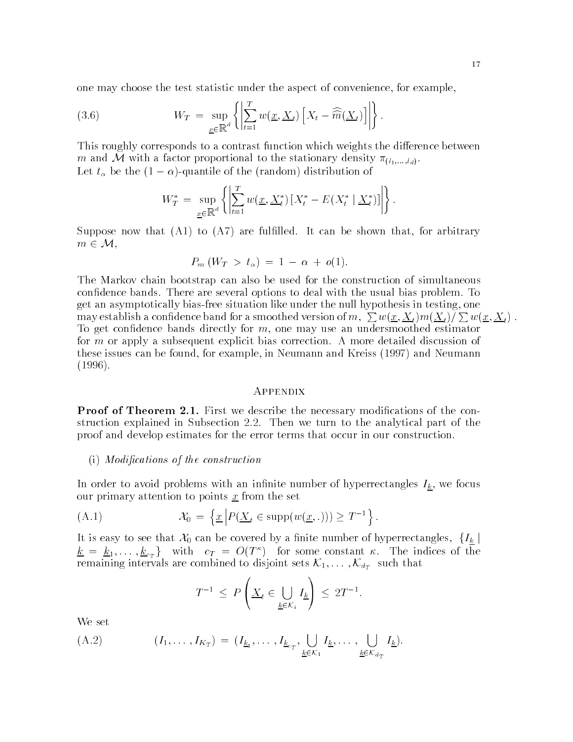one may choose the test statistic under the aspect of convenience for example

(3.6) 
$$
W_T = \sup_{\underline{x} \in \mathbb{R}^d} \left\{ \left| \sum_{t=1}^T w(\underline{x}, \underline{X}_t) \left[ X_t - \widehat{\widehat{m}}(\underline{X}_t) \right] \right| \right\}.
$$

This roughly corresponds to a contrast function which weights the difference between m and M with a factor proportional to the stationary density  $\pi_{(l_1,...,l_d)}$ . Let  $t_{\alpha}$  be the  $(1 - \alpha)$ -quantile of the framom distribution of

$$
W_T^* = \sup_{\underline{x} \in \mathbb{R}^d} \left\{ \left| \sum_{t=1}^T w(\underline{x}, \underline{X}_t^*) \left[ X_t^* - E(X_t^* \mid \underline{X}_t^*) \right] \right| \right\}.
$$

Suppose now that A to A are fullled- It can be shown that for arbitrary  $m \in \mathcal{M},$ 

$$
P_m(W_T > t_\alpha) = 1 - \alpha + o(1).
$$

The Markov chain bootstrap can also be used for the construction of simultaneous condence bands- There are several options to deal with the usual bias problem- To get an asymptotically bias-free situation like under the null hypothesis in testing, one may establish a confidence band for a smoothed version of  $m,~\sum w(\underline{x},\underline{X}_t) m(\underline{X}_t) / \sum w(\underline{x},\underline{X}_t)$  . To get confidence bands directly for  $m$ , one may use an undersmoothed estimator for m or apply a subsequent explicit bias correction- A more detailed discussion of these issues can be found, for example, in Neumann and Kreiss (1997) and Neumann  $(1996).$ 

#### **APPENDIX**

Proof of Theorem - First we describe the necessary modications of the con struction explained in Subsection 
-- Then we turn to the analytical part of the proof and develop estimates for the error terms that occur in our construction-

#### $(i)$  Modifications of the construction

In order to avoid problems with an infinite number of hyperrectangles  $I_{\underline{k}}$ , we focus our primary attention to points  $x$  from the set

(A.1) 
$$
\mathcal{X}_0 = \left\{ \underline{x} \left| P(\underline{X}_t \in \text{supp}(w(\underline{x}, .))) \geq T^{-1} \right. \right\}.
$$

It is easy to see that  $\mathcal{X}_0$  can be covered by a finite number of hyperrectangles,  $\{I_k\}$  $k = k_1, \dots, k_{c_T}$  with  $c_T = O(T^{\kappa})$  for some constant  $\kappa$ . The indices of the remaining intervals are combined to disjoint sets  $\mathcal{K}_1, \dots, \mathcal{K}_{d_T}$  such that

$$
T^{-1} \le P\left(\underline{X}_t \in \bigcup_{\underline{k} \in \mathcal{K}_i} I_{\underline{k}}\right) \le 2T^{-1}.
$$

We set

$$
(A.2) \qquad (I_1,\ldots,I_{K_T}) = (I_{\underline{k}_1},\ldots,I_{\underline{k}_{c_T}},\bigcup_{\underline{k}\in\mathcal{K}_1}I_{\underline{k}},\ldots,\bigcup_{\underline{k}\in\mathcal{K}_{d_T}}I_{\underline{k}}).
$$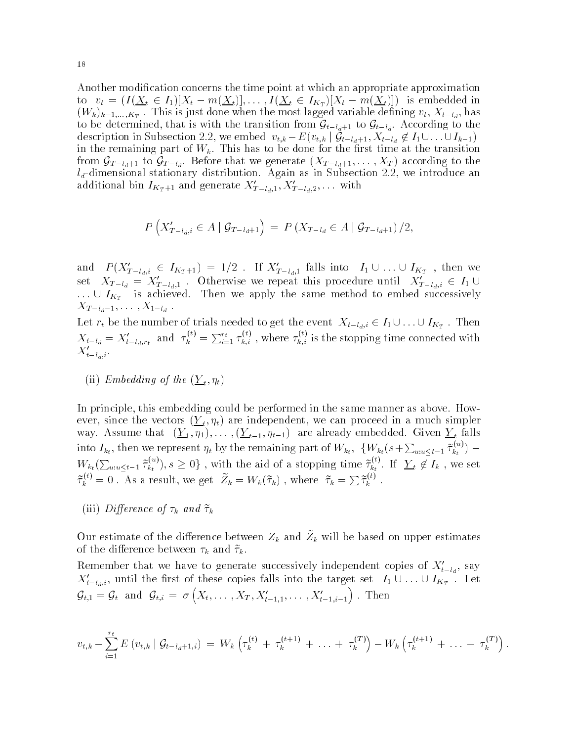Another modification concerns the time point at which an appropriate approximation to  $v_t = (I(\underline{X}_t \in I_1) | X_t - m(\underline{X}_t)|, \ldots, I(\underline{X}_t \in I_{K_T}) | X_t - m(\underline{X}_t)|)$  is embedded in  $\lambda$  -  $\mu$  /n  $\mu$  -  $\mu$  -  $\mu$  -  $\mu$  -  $\mu$  -  $\mu$  -  $\mu$  -  $\mu$  -  $\mu$  -  $\mu$  -  $\mu$  -  $\mu$  -  $\mu$  -  $\mu$  -  $\mu$  -  $\mu$  -  $\mu$  -  $\mu$  -  $\mu$  -  $\mu$  -  $\mu$  -  $\mu$  -  $\mu$  -  $\mu$  -  $\mu$  -  $\mu$  -  $\mu$  -  $\mu$  -  $\mu$  -  $\mu$ to be determined, that is with the transition from  $\mathcal{G}_{t-l_d+1}$  to  $\mathcal{G}_{t-l_d}$ . According to the description in Subsection 2.2, we embed  $v_{t,k} - E(v_{t,k} | \mathcal{G}_{t-l_d+1}, X_{t-l_d} \notin I_1 \cup \ldots \cup I_{k-1})$ in the remaining part of  $W$  -for the rst time at the transition for the transition  $\Omega$  . The transition  $\Omega$ from  $\mathcal{G}_{T-l_d+1}$  to  $\mathcal{G}_{T-l_d}$ . Before that we generate  $(X_{T-l_d+1},\ldots,X_T)$  according to the dimensional stationary distribution as in Subsection- and in Subsection- and I and I and I and I and I and additional bin  $I_{K_T+1}$  and generate  $\Lambda_{T-l_d,1}, \Lambda_{T-l_d,2}, \ldots$  with

$$
P\left(X'_{T-l_d,i} \in A \mid \mathcal{G}_{T-l_d+1}\right) = P\left(X_{T-l_d} \in A \mid \mathcal{G}_{T-l_d+1}\right)/2,
$$

and  $P(X'_{T-l_d,i} \in I_{K_T+1}) = 1/2$ . If  $X'_{T-l_d,1}$  falls into  $I_1 \cup ... \cup I_{K_T}$ , then we set  $X_{T-l_d} = X'_{T-l_d,1}$ . Otherwise we repeat this procedure until  $X'_{T-l_d,i} \in I_1 \cup I_2$  $\ldots \cup I_{K_T}$  is achieved. Then we apply the same method to embed successively  $\begin{array}{cccc} -1 & q & 1 & \cdots & -1 & q \end{array}$ 

Let  $r_t$  be the number of trials needed to get the event  $X_{t-l_d,i} \in I_1 \cup \ldots \cup I_{K_T}$ . Then  $X_{t-l_d} = X'_{t-l_d,r_t}$  and  $\tau_k^{v_t} = \sum_{i=1}^{r_t} \tau_{k,i}^{v_t}$ ,  $\vec{k,i}$  , where  $\tau_{k,i}^{\scriptscriptstyle \vee\vee}$  is  $\kappa, i$  is the stopping time connected with  $\Lambda_{t-l_d,i}$ .

ii  $\sum_{i=1}^n \sum_{i=1}^n \sum_{j=1}^n \sum_{j=1}^n \sum_{j=1}^n \sum_{j=1}^n \sum_{j=1}^n \sum_{j=1}^n \sum_{j=1}^n \sum_{j=1}^n \sum_{j=1}^n \sum_{j=1}^n \sum_{j=1}^n \sum_{j=1}^n \sum_{j=1}^n \sum_{j=1}^n \sum_{j=1}^n \sum_{j=1}^n \sum_{j=1}^n \sum_{j=1}^n \sum_{j=1}^n \sum_{j=1}^n \sum_{j=1}^n \sum_{j=1}^n \$ 

In principle this embedding could be performed in the same manner as above- How ever since the vectors  $\leftarrow$   $\left(\cdot\right)$  the since  $\Gamma$  can proceed in a much simpler we can proceed in a much simpler was-contracted-contracted-contracted-contracted-contracted-contracted-contracted-contracted-contracted-contracted-contracted-contracted-contracted-contracted-contracted-contracted-contracted-contracted-contracted-contract into  $I_{k_t}$ , then we represent  $\eta_t$  by the remaining part of  $W_{k_t}$ ,  $\{W_{k_t}(s+\sum_{u:u\leq t-1} \tilde{\tau}_{k_t}^{(u)}) W_{k_t}(\sum_{u:u\leq t-1}\tilde{\tau}_{k_t}^{(u)}),s\geq 0\}$ , with the aid of a stopping time  $\tilde{\tau}_{k_t}^{(v)}$ . If  $Y_t \notin I_k$ , we set  $\widetilde{\tau}_k^{\varepsilon\prime} = 0$ . As a result, we get  $Z_k = W_k(\widetilde{\tau}_k)$ , where  $\widetilde{\tau}_k = \sum \widetilde{\tau}_k^{\varepsilon\prime}$ .

(iii) Difference of  $\tau_k$  and  $\tilde{\tau}_k$ 

Our estimate of the difference between  $Z_k$  and  $Z_k$  will be based on upper estimates of the difference between  $\tau_k$  and  $\tilde{\tau}_k$ .

Remember that we have to generate successively independent copies of  $A_{i-1}$ , say  $X'_{t-l_d,i}$ , until the first of these copies falls into the target set  $I_1 \cup \ldots \cup I_{K_T}$ . Let  $\mathcal{G}_{t,1} = \mathcal{G}_t$  and  $\mathcal{G}_{t,i} = \sigma\left(X_t, \ldots, X_T, X'_{t-1,1}, \ldots, X'_{t-1,i-1}\right)$ . Then

$$
v_{t,k} - \sum_{i=1}^{r_t} E(v_{t,k} | \mathcal{G}_{t-l_d+1,i}) = W_k \left( \tau_k^{(t)} + \tau_k^{(t+1)} + \ldots + \tau_k^{(T)} \right) - W_k \left( \tau_k^{(t+1)} + \ldots + \tau_k^{(T)} \right).
$$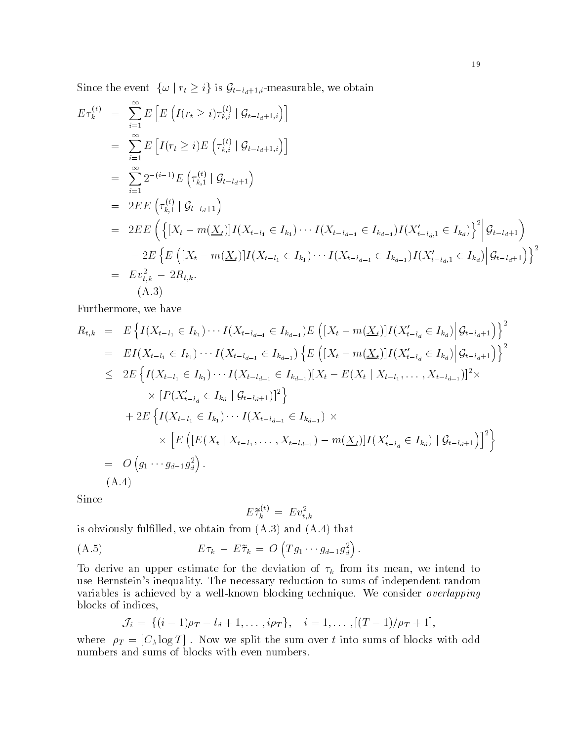Since the event  $\{\omega \mid r_t \geq i\}$  is  $\mathcal{G}_{t-l_d+1,i}$ -measurable, we obtain

$$
E\tau_k^{(t)} = \sum_{i=1}^{\infty} E\left[E\left(I(r_t \geq i)\tau_{k,i}^{(t)} \mid \mathcal{G}_{t-l_d+1,i}\right)\right]
$$
  
\n
$$
= \sum_{i=1}^{\infty} E\left[I(r_t \geq i)E\left(\tau_{k,i}^{(t)} \mid \mathcal{G}_{t-l_d+1,i}\right)\right]
$$
  
\n
$$
= \sum_{i=1}^{\infty} 2^{-(i-1)} E\left(\tau_{k,1}^{(t)} \mid \mathcal{G}_{t-l_d+1}\right)
$$
  
\n
$$
= 2E E\left(\tau_{k,1}^{(t)} \mid \mathcal{G}_{t-l_d+1}\right)
$$
  
\n
$$
= 2E E\left(\left\{\left[X_t - m(\underline{X}_t)\right]I(X_{t-l_1} \in I_{k_1}) \cdots I(X_{t-l_{d-1}} \in I_{k_{d-1}})I(X_{t-l_d,1}^{\prime} \in I_{k_d})\right\}^2 \middle| \mathcal{G}_{t-l_d+1}\right)
$$
  
\n
$$
- 2E\left\{E\left([X_t - m(\underline{X}_t)]I(X_{t-l_1} \in I_{k_1}) \cdots I(X_{t-l_{d-1}} \in I_{k_{d-1}})I(X_{t-l_d,1}^{\prime} \in I_{k_d})\middle| \mathcal{G}_{t-l_d+1}\right)\right\}^2
$$
  
\n
$$
= Ev_{t,k}^2 - 2R_{t,k}.
$$
  
\n(A.3)

Furthermore, we have

$$
R_{t,k} = E\left\{I(X_{t-l_1} \in I_{k_1}) \cdots I(X_{t-l_{d-1}} \in I_{k_{d-1}})E\left([X_t - m(\underline{X}_t)]I(X'_{t-l_d} \in I_{k_d}) \middle| \mathcal{G}_{t-l_d+1}\right)\right\}^2
$$
  
\n
$$
= EI(X_{t-l_1} \in I_{k_1}) \cdots I(X_{t-l_{d-1}} \in I_{k_{d-1}})\left\{E\left([X_t - m(\underline{X}_t)]I(X'_{t-l_d} \in I_{k_d}) \middle| \mathcal{G}_{t-l_d+1}\right)\right\}^2
$$
  
\n
$$
\leq 2E\left\{I(X_{t-l_1} \in I_{k_1}) \cdots I(X_{t-l_{d-1}} \in I_{k_{d-1}})[X_t - E(X_t | X_{t-l_1}, \ldots, X_{t-l_{d-1}})]^2 \times
$$
  
\n
$$
\times [P(X'_{t-l_d} \in I_{k_d} | \mathcal{G}_{t-l_d+1})]^2\right\}
$$
  
\n
$$
+ 2E\left\{I(X_{t-l_1} \in I_{k_1}) \cdots I(X_{t-l_{d-1}} \in I_{k_{d-1}}) \times
$$
  
\n
$$
\times \left[E\left([E(X_t | X_{t-l_1}, \ldots, X_{t-l_{d-1}}) - m(\underline{X}_t)]I(X'_{t-l_d} \in I_{k_d}) | \mathcal{G}_{t-l_d+1})\right]^2\right\}
$$
  
\n
$$
= O\left(g_1 \cdots g_{d-1} g_d^2\right).
$$
  
\n(A.4)

Since

$$
E\widetilde{\tau}_{k}^{(t)}\,=\,Ev_{t,k}^2
$$

is an interest function of the continues from A-state (that  $\{1,2,3,4\}$  , that is

$$
(A.5) \t\t\t E\tau_k - E\tilde{\tau}_k = O\left(Tg_1 \cdots g_{d-1}g_d^2\right).
$$

To derive an upper estimate for the deviation of  $\tau_k$  from its mean, we intend to , we are necessary reduction to such the necessary reduction to such a sum and proposition to sum of independent variables is achieved byawellknown blocking technique- We consider overlapping blocks of indices

$$
\mathcal{J}_i = \{ (i-1)\rho_T - l_d + 1, \dots, i\rho_T \}, \quad i = 1, \dots, [(T-1)/\rho_T + 1],
$$

 $\mathbf{1}$  into  $\mathbf{1}$  and  $\mathbf{1}$  into summon  $\mathbf{1}$  into summonly be summonly be summonly be summonly be summonly be summonly be summonly be summonly be summonly be summonly be summonly be summonly be summarized with numbers and sums of blocks with even numbers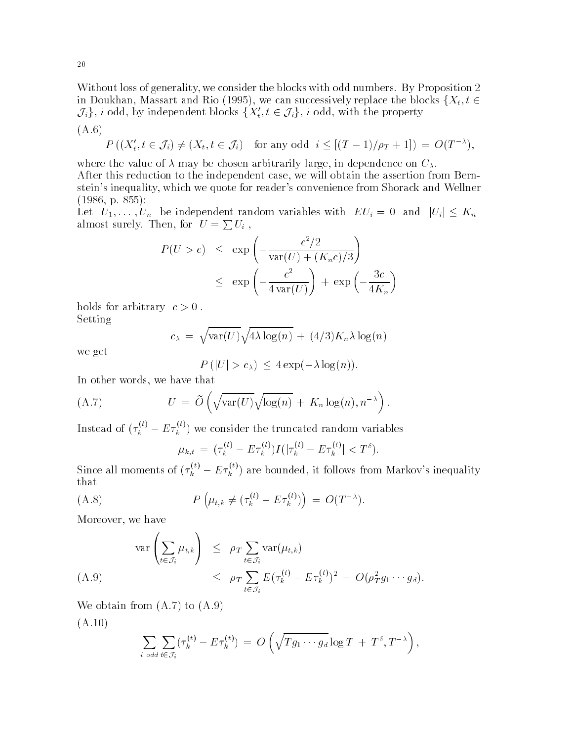with the blocks of generality we considered the blocks with odd numbers-alone of  $\mathbb{R}^n$ in Doukhan, Massart and Rio (1995), we can successively replace the blocks  $\{X_t, t \in$  $\{\mathcal{J}_i\}, \, i$  odd, by independent blocks  $\{X'_t, t \in \mathcal{J}_i\}, \, i$  odd, with the property

$$
(\mathrm{A.6})
$$

$$
P((X'_t, t \in \mathcal{J}_i) \neq (X_t, t \in \mathcal{J}_i) \text{ for any odd } i \leq [(T-1)/\rho_T + 1]) = O(T^{-\lambda}),
$$

where the value of  $\lambda$  may be chosen arbitrarily large, in dependence on  $C_{\lambda}$ . After this reduction to the independent case, we will obtain the assertion from Bernstein's inequality, which we quote for reader's convenience from Shorack and Wellner  p-

Let  $U_1, \ldots, U_n$  be independent random variables with  $EU_i = 0$  and  $|U_i| \leq K_n$ almost surely. Then, for  $U = \sum U_i$ ,

$$
P(U > c) \le \exp\left(-\frac{c^2/2}{\text{var}(U) + (K_n c)/3}\right)
$$
  

$$
\le \exp\left(-\frac{c^2}{4 \text{var}(U)}\right) + \exp\left(-\frac{3c}{4K_n}\right)
$$

holds for arbitrary c  -Setting

$$
c_{\lambda} = \sqrt{\text{var}(U)}\sqrt{4\lambda \log(n)} + (4/3)K_n\lambda \log(n)
$$

we get

$$
P(|U| > c_{\lambda}) \leq 4 \exp(-\lambda \log(n)).
$$

In other words, we have that

(A.7) 
$$
U = \tilde{O}\left(\sqrt{\text{var}(U)}\sqrt{\log(n)} + K_n \log(n), n^{-\lambda}\right).
$$

Instead of  $(\tau_k^{\scriptscriptstyle (\kappa)}-E\tau_k^{\scriptscriptstyle (\kappa)})$  we consider the truncated random variables

$$
\mu_{k,t} = (\tau_k^{(t)} - E\tau_k^{(t)})I(|\tau_k^{(t)} - E\tau_k^{(t)}| < T^{\delta}).
$$

Since all moments of  $(\tau_k^{\gamma\gamma}-E\tau_k^{\gamma\gamma})$  are bounded, it follows from Markov's inequality that

(A.8) 
$$
P(\mu_{t,k} \neq (\tau_k^{(t)} - E \tau_k^{(t)}) ) = O(T^{-\lambda}).
$$

Moreover, we have

$$
\operatorname{var}\left(\sum_{t\in\mathcal{J}_i}\mu_{t,k}\right) \leq \rho_T \sum_{t\in\mathcal{J}_i} \operatorname{var}(\mu_{t,k})
$$
\n
$$
\leq \rho_T \sum_{t\in\mathcal{J}_i} E(\tau_k^{(t)} - E\tau_k^{(t)})^2 = O(\rho_T^2 g_1 \cdots g_d).
$$
\n(A.9)

where  $\mathcal{A}$  are all the A-model and A-model and A-model and A-model and A-model and A-model and A-model and A-model and A-model and A-model and A-model and A-model and A-model and A-model and A-model and A-model and A-

$$
(A.10)
$$

$$
\sum_{i \text{ odd}} \sum_{t \in \mathcal{J}_i} (\tau_k^{(t)} - E \tau_k^{(t)}) = O\left(\sqrt{T g_1 \cdots g_d} \log T + T^{\delta}, T^{-\lambda}\right),
$$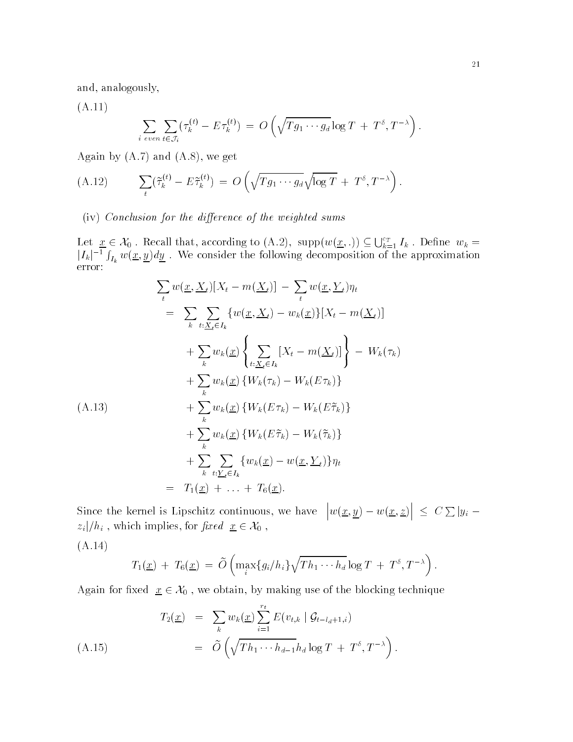and, analogously,

A-

$$
\sum_{i \text{ even}} \sum_{t \in \mathcal{J}_i} (\tau_k^{(t)} - E \tau_k^{(t)}) = O\left(\sqrt{T g_1 \cdots g_d} \log T + T^{\delta}, T^{-\lambda}\right).
$$

Again by A- and A- we get

(A.12) 
$$
\sum_{t} (\tilde{\tau}_{k}^{(t)} - E \tilde{\tau}_{k}^{(t)}) = O\left(\sqrt{T g_1 \cdots g_d} \sqrt{\log T} + T^{\delta}, T^{-\lambda}\right).
$$

 $(iv)$  Conclusion for the difference of the weighted sums

Let  $\underline{x} \in \mathcal{X}_0$ . Recall that, according to  $(A.2)$ , supp $(w(\underline{x}, .)) \subseteq \bigcup_{k=1}^{c_T} I_k$ . Define  $w_k = |I_k|^{-1} \int_{I_k} w(\underline{x}, \underline{y}) dy$ . We consider the following decomposition of the approximation

$$
\sum_{t} w(\underline{x}, \underline{X}_{t})[X_{t} - m(\underline{X}_{t})] - \sum_{t} w(\underline{x}, \underline{Y}_{t})\eta_{t}
$$
\n
$$
= \sum_{k} \sum_{t:\underline{X}_{t} \in I_{k}} \{w(\underline{x}, \underline{X}_{t}) - w_{k}(\underline{x})\}[X_{t} - m(\underline{X}_{t})]
$$
\n
$$
+ \sum_{k} w_{k}(\underline{x}) \left\{\sum_{t:\underline{X}_{t} \in I_{k}} [X_{t} - m(\underline{X}_{t})] \right\} - W_{k}(\tau_{k})
$$
\n
$$
+ \sum_{k} w_{k}(\underline{x}) \{W_{k}(\tau_{k}) - W_{k}(E\tau_{k})\}
$$
\n(A.13)\n
$$
+ \sum_{k} w_{k}(\underline{x}) \{W_{k}(E\tau_{k}) - W_{k}(E\tilde{\tau}_{k})\}
$$
\n
$$
+ \sum_{k} w_{k}(\underline{x}) \{W_{k}(E\tilde{\tau}_{k}) - W_{k}(\tilde{\tau}_{k})\}
$$
\n
$$
+ \sum_{k} \sum_{t:\underline{Y}_{t} \in I_{k}} \{w_{k}(\underline{x}) - w(\underline{x}, \underline{Y}_{t})\}\eta_{t}
$$
\n
$$
= T_{1}(\underline{x}) + \ldots + T_{6}(\underline{x}).
$$

Since the kernel is Lipschitz continuous we have  $|w(x,y)-w(x,z)| \leq$  $\vert \leq C \sum |y_i - \rangle$  $z_i|/h_i$  , which implies, for  $\mathit{fixed}\ \underline{x} \in \mathcal{X}_0$  ,

 $\lambda$  -  $\lambda$  -  $\lambda$  -  $\lambda$ 

$$
T_1(\underline{x}) + T_6(\underline{x}) = \widetilde{O}\left(\max_i \{g_i/h_i\} \sqrt{T h_1 \cdots h_d} \log T + T^{\delta}, T^{-\lambda}\right).
$$

Again for fixed  $x \in \mathcal{X}_0$ , we obtain, by making use of the blocking technique

$$
T_2(\underline{x}) = \sum_k w_k(\underline{x}) \sum_{i=1}^{r_t} E(v_{t,k} | \mathcal{G}_{t-l_d+1,i})
$$
  
=  $\widetilde{O}\left(\sqrt{Th_1 \cdots h_{d-1}} h_d \log T + T^{\delta}, T^{-\lambda}\right).$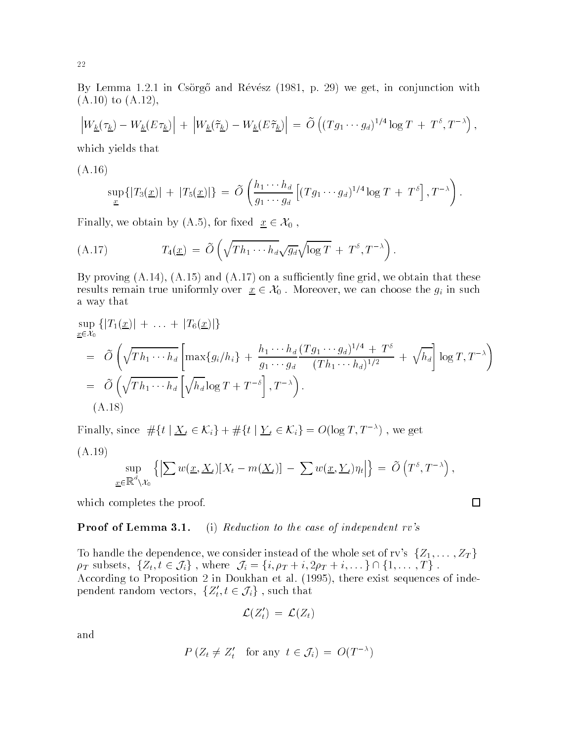e , extended from a conjunction with the second process  $\pi$  . And the conjunction with  $\pi$ A- to A-

$$
\left|W_{\underline{k}}(\tau_{\underline{k}})-W_{\underline{k}}(E\tau_{\underline{k}})\right| + \left|W_{\underline{k}}(\widetilde{\tau}_{\underline{k}})-W_{\underline{k}}(E\widetilde{\tau}_{\underline{k}})\right| = \widetilde{O}\left((Tg_1\cdots g_d)^{1/4}\log T + T^{\delta},T^{-\lambda}\right),
$$

which yields that

 $\lambda$  -  $\lambda$  -  $\lambda$  -  $\lambda$ 

$$
\sup_{\underline{x}}\left\{|T_3(\underline{x})| + |T_5(\underline{x})|\right\} = \widetilde{O}\left(\frac{h_1\cdots h_d}{g_1\cdots g_d}\left[(Tg_1\cdots g_d)^{1/4}\log T + T^{\delta}\right], T^{-\lambda}\right).
$$

Finally, we obtain by  $(A.5)$ , for fixed  $x \in \mathcal{X}_0$ ,

(A.17) 
$$
T_4(\underline{x}) = \widetilde{O}\left(\sqrt{T h_1 \cdots h_d} \sqrt{g_d} \sqrt{\log T} + T^{\delta}, T^{-\lambda}\right).
$$

a-, province and a-such that the success are such that the success of the success of the success of the success results remain true uniformly over  $\underline{x} \in \mathcal{X}_0$ . Moreover, we can choose the  $g_i$  in such a way that

$$
\sup_{\underline{x}\in\mathcal{X}_0} \left\{ |T_1(\underline{x})| + \ldots + |T_6(\underline{x})| \right\}
$$
\n
$$
= \widetilde{O}\left(\sqrt{Th_1\cdots h_d} \left[ \max\{g_i/h_i\} + \frac{h_1\cdots h_d}{g_1\cdots g_d} \frac{(Tg_1\cdots g_d)^{1/4} + T^{\delta}}{(Th_1\cdots h_d)^{1/2}} + \sqrt{h_d} \right] \log T, T^{-\lambda} \right)
$$
\n
$$
= \widetilde{O}\left(\sqrt{Th_1\cdots h_d} \left[ \sqrt{h_d} \log T + T^{-\delta} \right], T^{-\lambda} \right).
$$
\n(A.18)

Finally, since  $\#\{t \mid \underline{X}_t \in \mathcal{K}_i\} + \#\{t \mid \underline{Y}_t \in \mathcal{K}_i\} = O(\log T, T^{-\lambda})$ , we get

 $\lambda$  -  $\lambda$  -  $\lambda$  -  $\lambda$ 

$$
\sup_{\underline{x}\in\mathbb{R}^d\setminus\mathcal{X}_0}\left\{\left|\sum w(\underline{x},\underline{X}_t)[X_t-m(\underline{X}_t)]-\sum w(\underline{x},\underline{Y}_t)\eta_t\right|\right\}=\widetilde{O}\left(T^{\delta},T^{-\lambda}\right),
$$

which completes the proof.

#### Proof of Lemma 3.1. (i) Reduction to the case of independent  $rv$ 's

To handle the dependence, we consider instead of the whole set of rv's  $\{Z_1,\ldots,Z_T\}$  $\rho_T$  subsets,  $\{Z_t, t \in \mathcal{J}_i\}$ , where  $\mathcal{J}_i = \{i, \rho_T + i, 2\rho_T + i, \dots\} \cap \{1, \dots, T\}$ .  $\Lambda$  and  $\Lambda$  in  $\Lambda$  are existent sequences of independent sequences of independent sequences of independent sequences of independent sequences of independent sequences of independent sequences of independent sequences o pendent random vectors,  $\{Z'_t, t \in \mathcal{J}_i\}$  , such that

$$
\mathcal{L}(Z_t')\,=\,\mathcal{L}(Z_t)\quad
$$

and

$$
P(Z_t \neq Z'_t \quad \text{for any } t \in \mathcal{J}_i) = O(T^{-\lambda})
$$

 $\Box$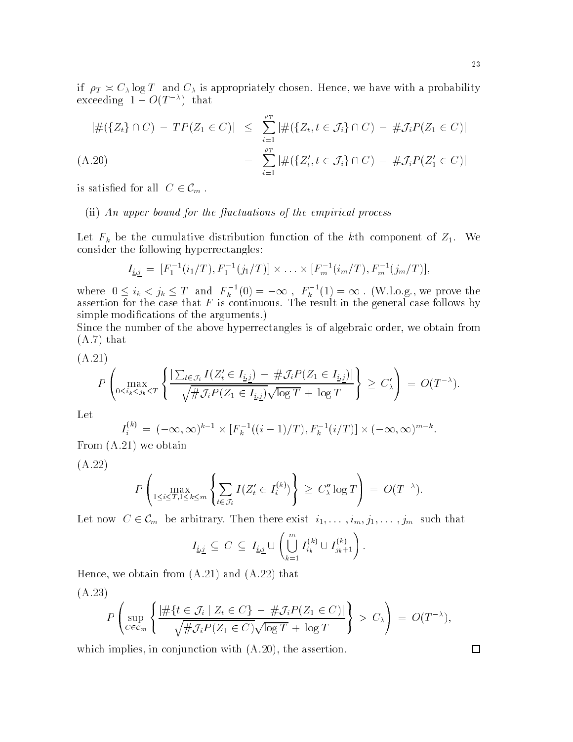23

if  $\rho_T \asymp C_\lambda \log T$  and  $C_\lambda$  is appropriately chosen. Hence, we have with a probability  $\alpha$ ceeding  $1 = O(1 - 7)$  that

$$
|\#(\{Z_t\} \cap C) - TP(Z_1 \in C)| \le \sum_{i=1}^{p_T} |\#(\{Z_t, t \in \mathcal{J}_i\} \cap C) - \# \mathcal{J}_i P(Z_1 \in C)|
$$

(A.20) = 
$$
\sum_{i=1}^{p} |\#(\{Z'_t, t \in \mathcal{J}_i\} \cap C) - \# \mathcal{J}_i P(Z'_1 \in C)|
$$

is satisfied for all  $C \in \mathcal{C}_m$ .

#### (ii) An upper bound for the fluctuations of the empirical process

Let  $\mathcal{L}$  be the cumulative distribution function  $\mathcal{L}$  and the kth component of  $\mathcal{L}$   $\mathcal{L}$ consider the following hyperrectangles

$$
I_{\underline{i},\underline{j}} = [F_1^{-1}(i_1/T), F_1^{-1}(j_1/T)] \times \ldots \times [F_m^{-1}(i_m/T), F_m^{-1}(j_m/T)],
$$

where  $0 \le i_k < j_k \le T$  and  $F_k^{-1}(0) = -\infty$ ,  $F_k^{-1}(1) = \infty$ . (W.l.o.g., we prove the assertion for the case that F is continuous-that F is continuous-  $\bigwedge\limits_{i=1}^n\mathcal{C}_i$ simple modications of the arguments-

Since the number of the above hyperrectangles is of algebraic order, we obtain from a-a-called the second that the second terms of the second terms of the second terms of the second terms of the

$$
(A.21)
$$

$$
P\left(\max_{0\leq i_k\leq j_k\leq T}\left\{\frac{\left|\sum_{t\in\mathcal{J}_i}I(Z_t'\in I_{\underline{i},\underline{j}})-\#\mathcal{J}_iP(Z_1\in I_{\underline{i},\underline{j}})\right|}{\sqrt{\#\mathcal{J}_iP(Z_1\in I_{\underline{i},\underline{j}})}\sqrt{\log T}+\log T}\right\}\geq C'_\lambda\right)=O(T^{-\lambda}).
$$

Let

$$
I_i^{(k)} = (-\infty, \infty)^{k-1} \times [F_k^{-1}((i-1)/T), F_k^{-1}(i/T)] \times (-\infty, \infty)^{m-k}.
$$
  
A 21) we obtain

From A- we obtain

A-

$$
P\left(\max_{1\leq i\leq T, 1\leq k\leq m}\left\{\sum_{t\in\mathcal{J}_i}I(Z'_t\in I_i^{(k)})\right\}\geq C''_\lambda\log T\right)=O(T^{-\lambda}).
$$

Let now  $C \in \mathcal{C}_m$  be arbitrary. Then there exist  $i_1, \ldots, i_m, j_1, \ldots, j_m$  such that

$$
I_{\underline{i},\underline{j}} \subseteq C \subseteq I_{\underline{i},\underline{j}} \cup \left(\bigcup_{k=1}^m I_{i_k}^{(k)} \cup I_{j_k+1}^{(k)}\right).
$$

Hence we obtain from A- and A- that

$$
(A.23)
$$

$$
P\left(\sup_{C\in\mathcal{C}_m}\left\{\frac{|\#\{t\in\mathcal{J}_i\mid Z_t\in C\}-\#\mathcal{J}_iP(Z_1\in C)|}{\sqrt{\#\mathcal{J}_iP(Z_1\in C)}\sqrt{\log T}+\log T}\right\}\right.>\n\geq C_{\lambda}\right)\n= O(T^{-\lambda}),
$$

which implies in conjunction- assertion- assertion- assertion- assertion- assertion- assertion- assertion- ass

 $\Box$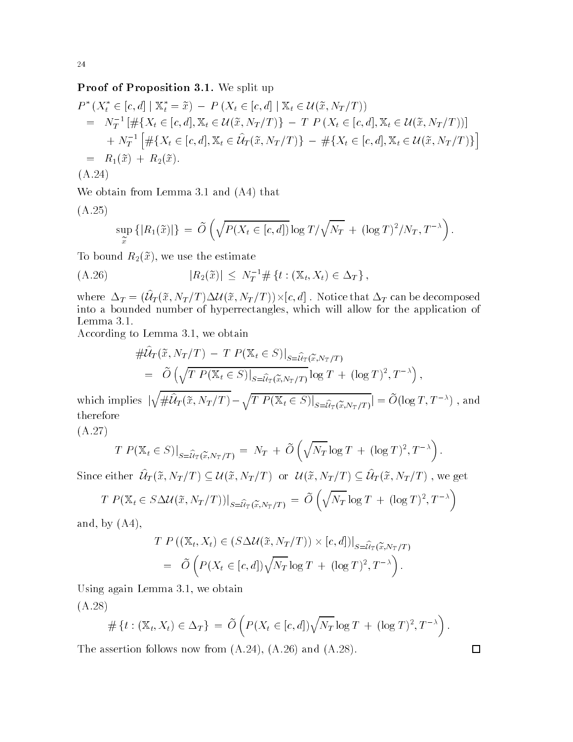#### Proof of Proposition - We split up

$$
P^*(X_t^* \in [c, d] \mid \mathbb{X}_t^* = \tilde{x}) - P(X_t \in [c, d] \mid \mathbb{X}_t \in \mathcal{U}(\tilde{x}, N_T/T))
$$
  
\n
$$
= N_T^{-1} [\# \{ X_t \in [c, d], \mathbb{X}_t \in \mathcal{U}(\tilde{x}, N_T/T) \} - T P(X_t \in [c, d], \mathbb{X}_t \in \mathcal{U}(\tilde{x}, N_T/T))]
$$
  
\n
$$
+ N_T^{-1} [\# \{ X_t \in [c, d], \mathbb{X}_t \in \mathcal{U}_T(\tilde{x}, N_T/T) \} - \# \{ X_t \in [c, d], \mathbb{X}_t \in \mathcal{U}(\tilde{x}, N_T/T) \}]
$$
  
\n
$$
= R_1(\tilde{x}) + R_2(\tilde{x}).
$$
  
\n(A.24)

where the contract of the contract of the contract of the contract of the contract of the contract of the contract of the contract of the contract of the contract of the contract of the contract of the contract of the cont

$$
(A.25)
$$

$$
\sup_{\widetilde{x}} \left\{ |R_1(\widetilde{x})| \right\} = \widetilde{O}\left( \sqrt{P(X_t \in [c,d])} \log T / \sqrt{N_T} + (\log T)^2 / N_T, T^{-\lambda} \right).
$$

To bound  $R_2(\tilde{x})$ , we use the estimate

$$
(A.26) \t\t\t |R_2(\tilde{x})| \leq N_T^{-1} \# \{t : (\mathbb{X}_t, X_t) \in \Delta_T\},
$$

where  $\Delta_T = (U_T(\tilde{x}, N_T/T))\Delta \mathcal{U}(\tilde{x}, N_T/T)) \times [c, d]$ . Notice that  $\Delta_T$  can be decomposed into a bounded number of hyperrectangles which will allow for the application of the application of the application of the application of the application of the application of the application of the application of the app

 $\mathcal{A}$  . We obtain the corresponding to  $\mathcal{A}$  , we obtain the corresponding to  $\mathcal{A}$ 

$$
\begin{split} &\#\widehat{\mathcal{U}}_{T}(\widetilde{x},N_{T}/T)-T\ P(\mathbb{X}_{t}\in S)|_{S=\widehat{\mathcal{U}}_{T}(\widetilde{x},N_{T}/T)}\\ &=\ \widetilde{O}\left(\sqrt{T\ P(\mathbb{X}_{t}\in S)|_{S=\widehat{\mathcal{U}}_{T}(\widetilde{x},N_{T}/T)}}\log T\ +\ (\log T)^{2},T^{-\lambda}\right),\\ &\leq \sqrt{\mathcal{U}^{\widehat{\mathcal{U}}}_{T}(\widetilde{x},N_{T}/T)}\ \sqrt{T\ P(\mathbb{X}_{T}\in S)|_{S=\widehat{\mathcal{U}}_{T}(\mathbb{X}_{T}\in S)}\ \widetilde{O}(\log T\ T^{-\lambda})\ \ \text{or}\ \end{split}
$$

which implies  $|\sqrt{\# \hat{\mathcal{U}}_T(\tilde{x}, N_T/T) - \sqrt{T P(\mathbb{X}_t \in S)|_{S = \hat{\mathcal{U}}_T(\tilde{x}, N_T/T)}}| = \tilde{O}(\log T, T^{-\lambda})$ , and therefore

$$
T P(\mathbb{X}_t \in S)|_{S = \widehat{u}_T(\widetilde{x}, N_T/T)} = N_T + \widetilde{O}\left(\sqrt{N_T} \log T + (\log T)^2, T^{-\lambda}\right).
$$

Since either  $\mathcal{U}_T(\tilde{x},N_T/T) \subseteq \mathcal{U}(\tilde{x},N_T/T)$  or  $\mathcal{U}(\tilde{x},N_T/T) \subseteq \mathcal{U}_T(\tilde{x},N_T/T)$ , we get

$$
T P(\mathbb{X}_t \in S \Delta \mathcal{U}(\tilde{x}, N_T/T))|_{S = \widehat{\mathcal{U}}_T(\tilde{x}, N_T/T)} = \widetilde{O}\left(\sqrt{N_T} \log T + (\log T)^2, T^{-\lambda}\right)
$$

and, by  $(A4)$ ,

A-

$$
T P ((\mathbb{X}_t, X_t) \in (S \Delta \mathcal{U}(\tilde{x}, N_T/T)) \times [c, d])|_{S = \widehat{\mathcal{U}}_T(\tilde{x}, N_T/T)}
$$
  
=  $\widetilde{O} \left( P(X_t \in [c, d]) \sqrt{N_T} \log T + (\log T)^2, T^{-\lambda} \right).$ 

Using again Lemma - we obtain  $(A, \overline{QQ})$ 

$$
(A.28)
$$

$$
\#\left\{t : (\mathbb{X}_t, X_t) \in \Delta_T\right\} = \widetilde{O}\left(P(X_t \in [c, d])\sqrt{N_T} \log T + (\log T)^2, T^{-\lambda}\right).
$$

 $\Box$ 

The assertion follows now follows now follows now for  $\mathcal{A}$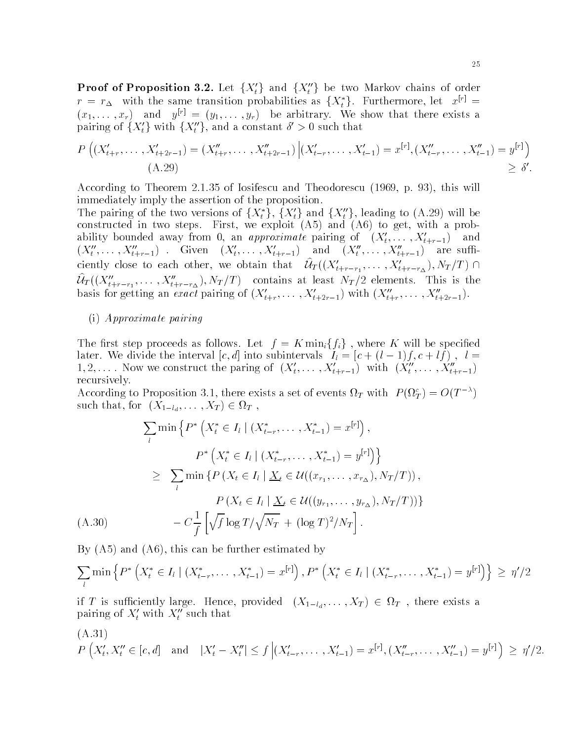**Proof of Proposition 3.2.** Let  $\{X_t'\}$  and  $\{X_t''\}$  be two Markov chains of order  $r = r_{\Delta}$  with the same transition probabilities as  $\{X_t^*\}$ . Furthermore, let  $x^{[r]} =$  $(x_1,\ldots,x_r)$  and  $y_{r'}=(y_1,\ldots,y_r)$  be arbitrary. We show that there exists a pairing of  $\{X_t'\}$  with  $\{X_t''\}$ , and a constant  $\delta' > 0$  such that

$$
P\left((X'_{t+r},\ldots,X'_{t+2r-1})=(X''_{t+r},\ldots,X''_{t+2r-1})\Big|(X'_{t-r},\ldots,X'_{t-1})=x^{[r]},(X''_{t-r},\ldots,X''_{t-1})=y^{[r]}\right)
$$
  
(A.29) 
$$
\geq \delta'.
$$

According to Theorem 2.1.35 of Iosifescu and Theodorescu (1969, p. 93), this will immediately imply the assertion of the proposition-

The pairing of the two versions of  $\{X_t^*\}, \{X_t'\}$  and  $\{X_t''\},$  leading to  $(A.29)$  will be  $\mathbf{r}$  is two steps-dimensions and A and A and A and A and A and A and A and A and A and A and A and A and A and A and A and A and A and A and A and A and A and A and A and A and A and A and A and A and A and A and A an ability bounded away from 0, an *approximate* pairing of  $(\Lambda_t, \ldots, \Lambda_{t+r-1})$  and  $(X_t, \ldots, X_{t+r-1})$  . Given  $(X_t, \ldots, X_{t+r-1})$  and  $(X_t, \ldots, X_{t+r-1})$  are sumciently close to each other, we obtain that  $\mathcal{U}_T((X'_{t+r-r_1},\ldots,X'_{t+r-r_{\Delta}}),N_T/T) \cap$  ${\cal U}_T((X''_{t+r-r_1}, \ldots, X''_{t+r-r_{\Delta}}), N_T/T)$  contains at least  $N_T/2$  elements. This is the basis for getting an exact pairing of  $(X_{t+r}, \ldots, X_{t+2r-1})$  with  $(X_{t+r}, \ldots, X_{t+2r-1})$ .

#### (i) Approximate pairing

The first step proceeds as follows. Let  $f = K \min_i \{f_i\}$ , where K will be specified Later. We divide the interval  $[c, a]$  linto subflictivals  $I_i = [c + (i - 1)j, c + ij]$ ,  $i =$ 1, 2, .... Now we construct the paring of  $(X_t, \ldots, X_{t+r-1})$  with  $(X_t, \ldots, X_{t+r-1})$ recursively-

According to Proposition 5.1, there exists a set of events  $u_T$  with  $P(u_T) = O(T^{-\alpha})$ such that, for  $(X_{1-l_d}, \ldots, X_T) \in \Omega_T$  ,

$$
\sum_{l} \min \left\{ P^* \left( X_t^* \in I_l \mid (X_{t-r}^*, \dots, X_{t-1}^*) = x^{[r]} \right), \right. \\
\left. P^* \left( X_t^* \in I_l \mid (X_{t-r}^*, \dots, X_{t-1}^*) = y^{[r]} \right) \right\} \\
\geq \sum_{l} \min \left\{ P \left( X_t \in I_l \mid \underline{X}_t \in \mathcal{U}((x_{r_1}, \dots, x_{r_\Delta}), N_T/T) \right), \right. \\
\left. P \left( X_t \in I_l \mid \underline{X}_t \in \mathcal{U}((y_{r_1}, \dots, y_{r_\Delta}), N_T/T) \right) \right\} \\
\quad - C \frac{1}{f} \left[ \sqrt{f} \log T / \sqrt{N_T} + (\log T)^2 / N_T \right].
$$

By  $(A5)$  and  $(A6)$ , this can be further estimated by

$$
\sum_{l} \min \left\{ P^* \left( X_t^* \in I_l \mid (X_{t-r}^*, \dots, X_{t-1}^*) = x^{[r]} \right), P^* \left( X_t^* \in I_l \mid (X_{t-r}^*, \dots, X_{t-1}^*) = y^{[r]} \right) \right\} \ge \eta'/2
$$

if T is sufficiently large. Hence, provided  $(X_{1-l_d},\ldots,X_T)\in \Omega_T$  , there exists a pairing of  $\Lambda_t$  with  $\Lambda_t$  such that

(A.31)  
\n
$$
P(X'_t, X''_t \in [c, d]
$$
 and  $|X'_t - X''_t| \le f |(X'_{t-r}, \dots, X'_{t-1}) = x^{[r]}, (X''_{t-r}, \dots, X''_{t-1}) = y^{[r]} \ge \eta'/2.$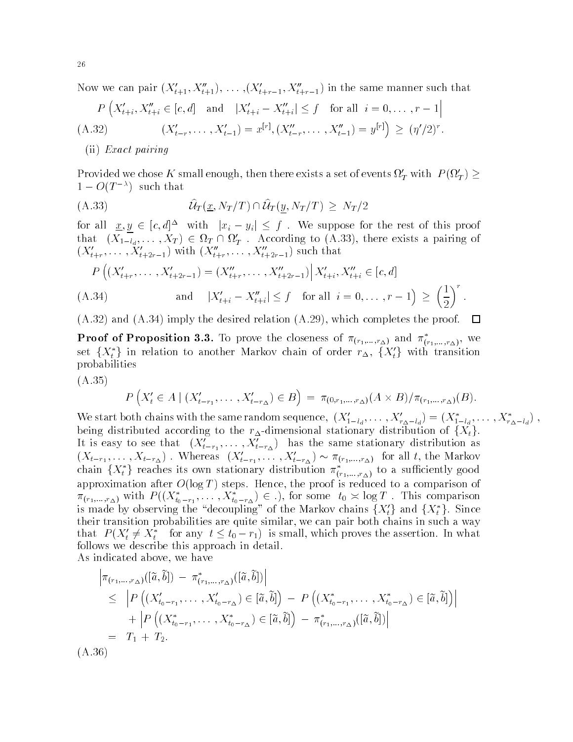Now we can pair  $(\Lambda_{t+1}, \Lambda_{t+1}), \ldots, (\Lambda_{t+r-1}, \Lambda_{t+r-1})$  in the same manner such that

$$
P\left(X'_{t+i}, X''_{t+i} \in [c, d] \text{ and } |X'_{t+i} - X''_{t+i}| \le f \text{ for all } i = 0, ..., r - 1 |
$$
  
(A.32) 
$$
(X'_{t-r}, \dots, X'_{t-1}) = x^{[r]}, (X''_{t-r}, \dots, X''_{t-1}) = y^{[r]} \ge (\eta'/2)^r.
$$

(ii) Exact pairing

Provided we chose K small enough, then there exists a set of events  $\Omega'_T$  with  $P(\Omega'_T) \ge$  $1 = U(T$  ) such that

$$
\widehat{U}_T(\underline{x}, N_T/T) \cap \widehat{U}_T(\underline{y}, N_T/T) \geq N_T/2
$$

for all  $x, y \in [c, d]^{\Delta}$  with  $|x_i - y_i| \leq f$ . We suppose for the rest of this proof that  $(X_{1-l_d},...,X_T) \in \Omega_T \cap \Omega_T'$ . According to (A.33), there exists a pairing of  $(\Lambda_{t+r}, \ldots, \Lambda_{t+2r-1})$  with  $(\Lambda_{t+r}, \ldots, \Lambda_{t+2r-1})$  such that

$$
P\left((X'_{t+r},\ldots,X'_{t+2r-1})=(X''_{t+r},\ldots,X''_{t+2r-1})\Big|X'_{t+i},X''_{t+i}\in[c,d]\right.
$$
  
(A.34) and  $|X'_{t+i}-X''_{t+i}|\leq f$  for all  $i=0,\ldots,r-1\right)\geq \left(\frac{1}{2}\right)^r$ .

 $\Lambda$  imply the desired relation  $\Lambda$  implies the proof-field relation  $\Lambda$ 口

**Proof of Proposition 3.3.** To prove the closeness of  $\pi_{(r_1,...,r_{\Delta})}$  and  $\pi_{(r_1,...,r_{\Delta})}$ , we set  $\{X^*_t\}$  in relation to another Markov chain of order  $r_\Delta, \; \{X'_t\}$  with transition probabilities

 $\lambda$  -  $\lambda$  -  $\lambda$ 

$$
P(X'_{t} \in A \mid (X'_{t-r_{1}}, \ldots, X'_{t-r_{\Delta}}) \in B) = \pi_{(0,r_{1},\ldots,r_{\Delta})}(A \times B) / \pi_{(r_{1},\ldots,r_{\Delta})}(B).
$$

We start both chains with the same random sequence,  $(X_{1-l_d}, \ldots, X_{r_{\Delta}-l_d}) = (X_{1-l_d}, \ldots, X_{r_{\Delta}-l_d})$ , being distributed according to the  $r_{\Delta}$ -dimensional stationary distribution of  $\{X_t\}$ . It is easy to see that  $(\Lambda_{t-r_1}, \ldots, \Lambda_{t-r_{\Delta}})$  has the same stationary distribution as  $(X_{t-r_1}, \ldots, X_{t-r_{\Delta}})$ . Whereas  $(X_{t-r_1}, \ldots, X_{t-r_{\Delta}}) \sim \pi_{(r_1, \ldots, r_{\Delta})}$  for all t, the Markov<br>chain  $\{X_t^*\}$  reaches its own stationary distribution  $\pi_{(r_1, \ldots, r_{\Delta})}^*$  to a sufficiently good approximation after Olog T steps- Hence the proof is reduced to a comparison of  $\pi_{(r_1,\ldots,r_{\Delta})}$  with  $P((X_{t_0-r_1}^*,\ldots,X_{t_0-r_{\Delta}}^*)\in .)$ , for some  $t_0 \asymp \log T$ . This comparison<br>is made by observing the "decoupling" of the Markov chains  $\{X_t'\}$  and  $\{X_t^*\}$ . Since their transition probabilities are quite similar, we can pair both chains in such a way that  $P(X_t' \neq X_t^*$  for any  $t \leq t_0 - r_1)$  is small, which proves the assertion. In what follows we describe this approach in detail-

As indicated above, we have

$$
\begin{aligned}\n\left| \pi_{(r_1,\ldots,r_\Delta)}([\tilde{a},\tilde{b}]) - \pi^*_{(r_1,\ldots,r_\Delta)}([\tilde{a},\tilde{b}]) \right| \\
&\leq \left| P\left( (X'_{t_0-r_1},\ldots,X'_{t_0-r_\Delta}) \in [\tilde{a},\tilde{b}] \right) - P\left( (X^*_{t_0-r_1},\ldots,X^*_{t_0-r_\Delta}) \in [\tilde{a},\tilde{b}] \right) \right| \\
&+ \left| P\left( (X^*_{t_0-r_1},\ldots,X^*_{t_0-r_\Delta}) \in [\tilde{a},\tilde{b}] \right) - \pi^*_{(r_1,\ldots,r_\Delta)}([\tilde{a},\tilde{b}]) \right| \\
&= T_1 + T_2.\n\end{aligned}
$$
\n(A.36)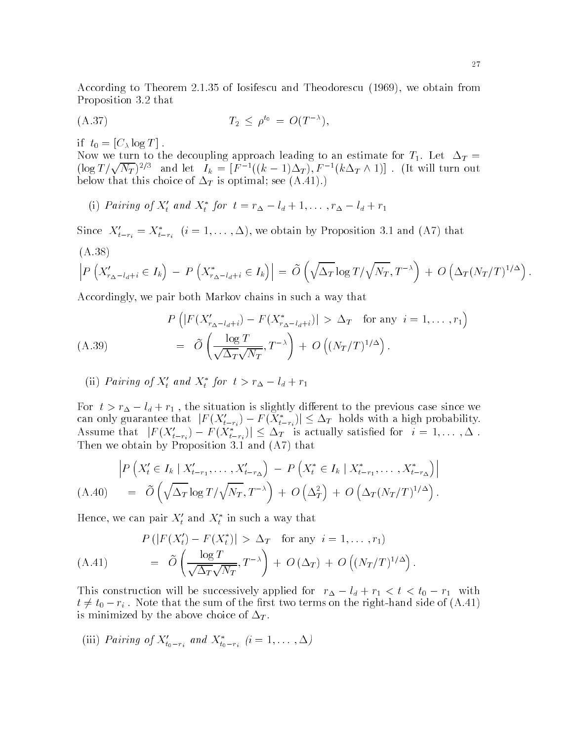According to Theorem 
-- of Iosifescu and Theodorescu  we obtain from Proposition - that

$$
(A.37) \t\t T_2 \le \rho^{t_0} = O(T^{-\lambda}),
$$

if  $t_0 = [C_\lambda \log T]$ .

Now we turn to the decoupling approach leading to an estimate for T- Let !T  $(\log T/\sqrt{N_T})^{2/3}$  and let  $I_k = [F^{-1}((k-1)\Delta_T), F^{-1}(k\Delta_T \wedge 1)]$ . (It will turn out  $\mathbf{1}$  is optimal set  $\mathbf{1}$  is optimal set  $\mathbf{1}$ 

(1) Pairing of  $\Lambda_t$  and  $\Lambda_t$  for  $t = r_{\Delta} - t_d + 1, \ldots, r_{\Delta} - t_d + r_1$ 

Since  $X_{t-r_i} = X_{t-r_i}$   $(i = 1, \ldots, \Delta)$ , we obtain by Proposition 3.1 and  $(A)$  that

$$
\left| P\left(X'_{r_{\Delta}-l_d+i} \in I_k\right) - P\left(X^*_{r_{\Delta}-l_d+i} \in I_k\right) \right| = \widetilde{O}\left(\sqrt{\Delta_T} \log T / \sqrt{N_T}, T^{-\lambda}\right) + O\left(\Delta_T (N_T/T)^{1/\Delta}\right).
$$

Accordingly, we pair both Markov chains in such a way that

$$
P\left(|F(X'_{r_{\Delta}-l_d+i}) - F(X^*_{r_{\Delta}-l_d+i})| > \Delta_T \text{ for any } i = 1,\dots,r_1\right)
$$
  
(A.39)
$$
= \tilde{O}\left(\frac{\log T}{\sqrt{\Delta_T}\sqrt{N_T}},T^{-\lambda}\right) + O\left((N_T/T)^{1/\Delta}\right).
$$

(ii) Furting of  $A_t$  and  $A_t$  for  $t > r_{\Delta} - t_d + r_1$ 

For  $\iota > \iota_\Delta - \iota_d + \iota_1$ , the situation is slightly different to the previous case since we can only guarantee that  $|F(X'_{t-r_i}) - F(X^*_{t-r_i})| \leq \Delta_T$  holds with a high probability. Assume that  $|F(X'_{t-r_i}) - F(X^*_{t-r_i})| \leq \Delta_T$  is actually satisfied for  $i = 1, \ldots, \Delta$ . The west and A that a three propositions of the proposition of  $\mathcal{L}$ 

$$
\left| P\left(X'_t \in I_k \mid X'_{t-r_1}, \dots, X'_{t-r_{\Delta}}\right) - P\left(X^*_t \in I_k \mid X^*_{t-r_1}, \dots, X^*_{t-r_{\Delta}}\right) \right|
$$
\n(A.40) =  $\widetilde{O}\left(\sqrt{\Delta_T} \log T/\sqrt{N_T}, T^{-\lambda}\right) + O\left(\Delta_T^2\right) + O\left(\Delta_T (N_T/T)^{1/\Delta}\right).$ 

Hence, we can pair  $A_t$  and  $A_t$  in such a way that

$$
P\left(|F(X'_t) - F(X^*_t)| > \Delta_T \text{ for any } i = 1, ..., r_1\right)
$$
  
(A.41) 
$$
= \tilde{O}\left(\frac{\log T}{\sqrt{\Delta_T}\sqrt{N_T}}, T^{-\lambda}\right) + O\left(\Delta_T\right) + O\left((N_T/T)^{1/\Delta}\right).
$$

This construction will be successively applied for  $\tau_{\Delta} = \tau_d + \tau_1 \leq \tau \leq \tau_0 - \tau_1$  with  $t \neq t_0-r_i$  . Note that the sum of the first two terms on the right-hand side of (A.41) is minimized by the above choice of  $\Delta_T$ .

(iii) Pairing of  $A_{t_0-r_i}$  and  $A_{t_0-r_i}$   $(i=1,\ldots,\Delta)$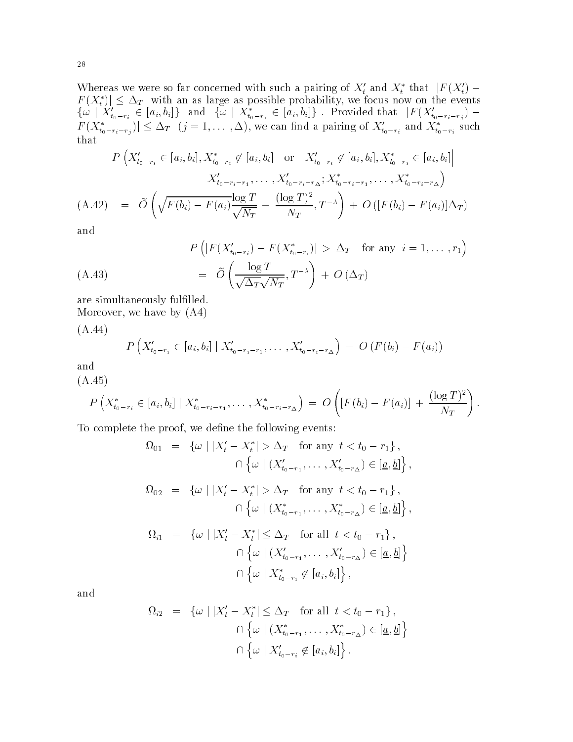Whereas we were so far concerned with such a pairing of  $X_t$  and  $X_t^*$  that  $|F(X_t) - F(X_t)|$  $|F(X_t^*)| \leq \Delta_T$  with an as large as possible probability, we focus now on the events  $\{\omega \mid X'_{t_0-r_i} \in [a_i, b_i]\}$  and  $\{\omega \mid X^*_{t_0-r_i} \in [a_i, b_i]\}$ . Provided that  $|F(X'_{t_0-r_i-r_j}) F(X_{t_0-r_i-r_j}^*) \leq \Delta_T$   $(j=1,\ldots,\Delta)$ , we can find a pairing of  $X_{t_0-r_i}'$  and  $X_{t_0-r_i}^*$  such

$$
P\left(X'_{t_0-r_i} \in [a_i, b_i], X^*_{t_0-r_i} \notin [a_i, b_i] \text{ or } X'_{t_0-r_i} \notin [a_i, b_i], X^*_{t_0-r_i} \in [a_i, b_i] \right)
$$

$$
X'_{t_0-r_i-r_1}, \dots, X'_{t_0-r_i-r_{\Delta}}; X^*_{t_0-r_i-r_1}, \dots, X^*_{t_0-r_i-r_{\Delta}})
$$

$$
(A.42) = \tilde{O}\left(\sqrt{F(b_i) - F(a_i)} \frac{\log T}{\sqrt{N_T}} + \frac{(\log T)^2}{N_T}, T^{-\lambda}\right) + O\left([F(b_i) - F(a_i)]\Delta_T\right)
$$

and

$$
P\left(|F(X'_{t_0-r_i}) - F(X^*_{t_0-r_i})| > \Delta_T \text{ for any } i = 1,\dots,r_1\right)
$$
  

$$
= \tilde{O}\left(\frac{\log T}{\sqrt{\Delta_T}\sqrt{N_T}},T^{-\lambda}\right) + O\left(\Delta_T\right)
$$

are simultaneously fulfilled. Moreover, we have by  $(A4)$ 

 $\lambda$  -  $\lambda$  -  $\lambda$  -  $\lambda$ 

$$
P\left(X'_{t_0-r_i} \in [a_i, b_i] \mid X'_{t_0-r_i-r_1}, \ldots, X'_{t_0-r_i-r_{\Delta}}\right) = O\left(F(b_i) - F(a_i)\right)
$$

and

$$
(A.45) \t\t P\left(X_{t_0-r_i}^* \in [a_i, b_i] \mid X_{t_0-r_i-r_1}^*, \ldots, X_{t_0-r_i-r_{\Delta}}^*\right) = O\left([F(b_i) - F(a_i)] + \frac{(\log T)^2}{N_T}\right).
$$

To complete the proof, we define the following events:

$$
\Omega_{01} = \{ \omega \mid |X'_t - X^*_t| > \Delta_T \text{ for any } t < t_0 - r_1 \},
$$
  
\n
$$
\cap \{ \omega \mid (X'_{t_0 - r_1}, \dots, X'_{t_0 - r_\Delta}) \in [\underline{a}, \underline{b}] \},
$$
  
\n
$$
\Omega_{02} = \{ \omega \mid |X'_t - X^*_t| > \Delta_T \text{ for any } t < t_0 - r_1 \},
$$
  
\n
$$
\cap \{ \omega \mid (X^*_{t_0 - r_1}, \dots, X^*_{t_0 - r_\Delta}) \in [\underline{a}, \underline{b}] \},
$$
  
\n
$$
\Omega_{i1} = \{ \omega \mid |X'_t - X^*_t| \leq \Delta_T \text{ for all } t < t_0 - r_1 \},
$$
  
\n
$$
\cap \{ \omega \mid (X'_{t_0 - r_1}, \dots, X'_{t_0 - r_\Delta}) \in [\underline{a}, \underline{b}] \}
$$
  
\n
$$
\cap \{ \omega \mid X^*_{t_0 - r_i} \notin [a_i, b_i] \},
$$

and

$$
\Omega_{i2} = \{ \omega \mid |X'_t - X^*_t| \leq \Delta_T \text{ for all } t < t_0 - r_1 \},
$$
  
\n
$$
\cap \{ \omega \mid (X^*_{t_0 - r_1}, \dots, X^*_{t_0 - r_{\Delta}}) \in [\underline{a}, \underline{b}] \}
$$
  
\n
$$
\cap \{ \omega \mid X'_{t_0 - r_i} \notin [a_i, b_i] \}.
$$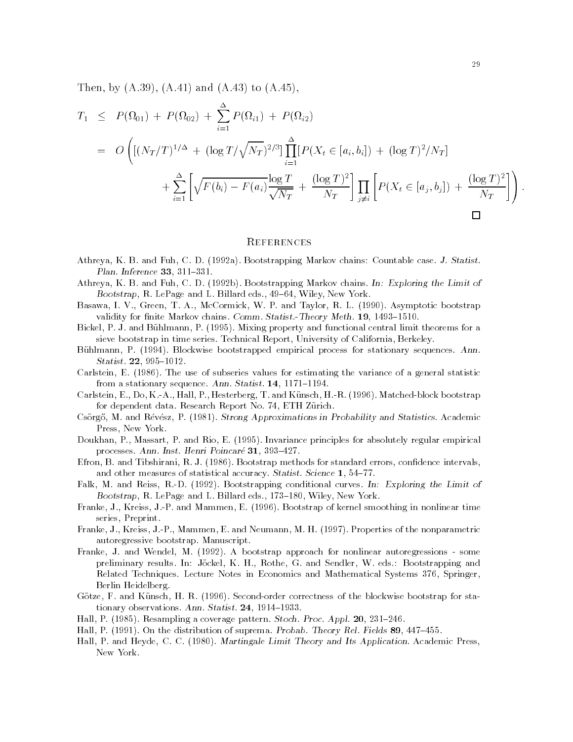the arm and are all the arms and arms are all the set of the set of the set of the set of the set of the set o

$$
T_1 \leq P(\Omega_{01}) + P(\Omega_{02}) + \sum_{i=1}^{\Delta} P(\Omega_{i1}) + P(\Omega_{i2})
$$
  
=  $O\left( [(N_T/T)^{1/\Delta} + (\log T/\sqrt{N_T})^{2/3}] \prod_{i=1}^{\Delta} [P(X_t \in [a_i, b_i]) + (\log T)^2 / N_T] + \sum_{i=1}^{\Delta} \left[ \sqrt{F(b_i) - F(a_i)} \frac{\log T}{\sqrt{N_T}} + \frac{(\log T)^2}{N_T} \right] \prod_{j \neq i} \left[ P(X_t \in [a_j, b_j]) + \frac{(\log T)^2}{N_T} \right] \right).$ 

#### **REFERENCES**

- Athreya K B and Fuh C D a Bootstrapping Markov chains Countable case J- Statist-Plan- Inference
- Athreya K B and Fuh C D b Bootstrapping Markov chains In Exploring the Limit of Bootstrap, R. LePage and L. Billard eds., 49-64, Wiley, New York.
- Basawa, I. V., Green, T. A., McCormick, W. P. and Taylor, R. L. (1990). Asymptotic bootstrap validity for mille mealing, chains, committed category filled to the filled to the statistic statistic statist
- Bickel, P. J. and Bühlmann, P. (1995). Mixing property and functional central limit theorems for a sieve bootstrap in time series. Technical Report, University of California, Berkeley.
- Bühlmann, P. (1994). Blockwise bootstrapped empirical process for stationary sequences. Ann. Statist-
- Carlstein, E.  $(1986)$ . The use of subseries values for estimating the variance of a general statistic from a stationary sequence Ann- Statist- -
- Carlstein, E., Do, K.-A., Hall, P., Hesterberg, T. and Künsch, H.-R.  $(1996)$ . Matched-block bootstrap for dependent data. Research Report No. 74, ETH Zürich.
- Csörgő, M. and Révész, P. (1981). Strong Approximations in Probability and Statistics. Academic Press, New York.
- Doukhan, P., Massart, P. and Rio, E. (1995). Invariance principles for absolutely regular empirical processes anno 2007, anno 2008 anno 2007, anno 2008 anno 2008 anno 2008 anno 2008 anno 2008 anno 2008 anno 20
- Efron B and Tibshirani R J Bootstrap methods for standard errors con-dence intervals and other measures of statistical accuracy Statistical accuracy Statistical accuracy Statistical According to
- Falk M and Reiss RD Bootstrapping conditional curves In Exploring the Limit of Bootstrap, R. LePage and L. Billard eds., 173–180, Wiley, New York.
- Franke, J., Kreiss, J.-P. and Mammen, E. (1996). Bootstrap of kernel smoothing in nonlinear time series, Preprint.
- Franke, J., Kreiss, J.-P., Mammen, E. and Neumann, M. H. (1997). Properties of the nonparametric autoregressive bootstrap Manuscript
- Franke J and Wendel M A bootstrap approach for nonlinear autoregressions some preliminary results. In: Jöckel, K. H., Rothe, G. and Sendler, W. eds.: Bootstrapping and Related Techniques. Lecture Notes in Economics and Mathematical Systems 376, Springer, Berlin Heidelberg
- Götze, F. and Künsch, H. R. (1996). Second-order correctness of the blockwise bootstrap for stationary observations Ann- Statist-
- en die beste gewone die gewone gewone gewone het. Die see word van die plaas was die beste was die stoch-
- ening a complete and the distribution of supposition of suprema Relation of Suprema Probability (Probability o
- Hall, P. and Heyde, C. C. (1980). Martingale Limit Theory and Its Application. Academic Press, New York